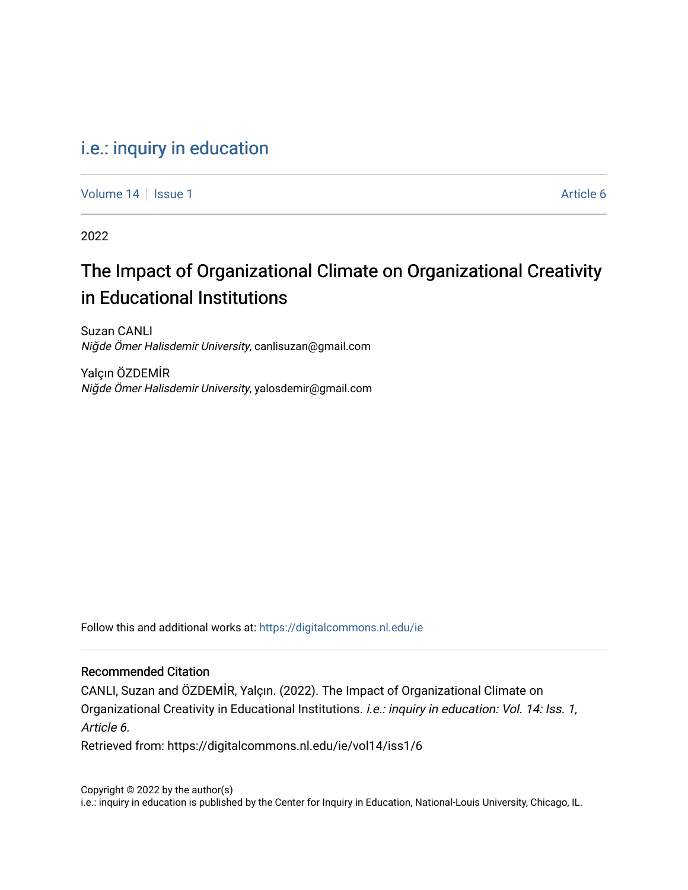# [i.e.: inquiry in education](https://digitalcommons.nl.edu/ie)

[Volume 14](https://digitalcommons.nl.edu/ie/vol14) Suitsue 1 Article 6

2022

# The Impact of Organizational Climate on Organizational Creativity in Educational Institutions

Suzan CANLI Niğde Ömer Halisdemir University, canlisuzan@gmail.com

Yalçın ÖZDEMİR Niğde Ömer Halisdemir University, yalosdemir@gmail.com

Follow this and additional works at: [https://digitalcommons.nl.edu/ie](https://digitalcommons.nl.edu/ie?utm_source=digitalcommons.nl.edu%2Fie%2Fvol14%2Fiss1%2F6&utm_medium=PDF&utm_campaign=PDFCoverPages) 

# Recommended Citation

CANLI, Suzan and ÖZDEMİR, Yalçın. (2022). The Impact of Organizational Climate on Organizational Creativity in Educational Institutions. *i.e.: inquiry in education: Vol. 14: Iss. 1,* Article 6.

Retrieved from: https://digitalcommons.nl.edu/ie/vol14/iss1/6

Copyright © 2022 by the author(s) i.e.: inquiry in education is published by the Center for Inquiry in Education, National-Louis University, Chicago, IL.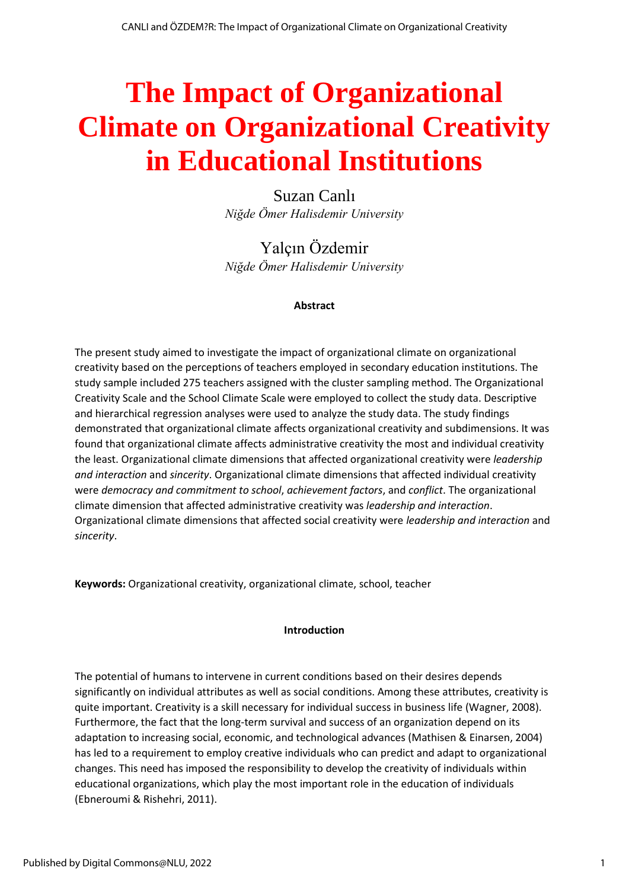# **The Impact of Organizational Climate on Organizational Creativity in Educational Institutions**

Suzan Canlı *Niğde Ömer Halisdemir University*

Yalçın Özdemir *Niğde Ömer Halisdemir University*

# **Abstract**

The present study aimed to investigate the impact of organizational climate on organizational creativity based on the perceptions of teachers employed in secondary education institutions. The study sample included 275 teachers assigned with the cluster sampling method. The Organizational Creativity Scale and the School Climate Scale were employed to collect the study data. Descriptive and hierarchical regression analyses were used to analyze the study data. The study findings demonstrated that organizational climate affects organizational creativity and subdimensions. It was found that organizational climate affects administrative creativity the most and individual creativity the least. Organizational climate dimensions that affected organizational creativity were *leadership and interaction* and *sincerity*. Organizational climate dimensions that affected individual creativity were *democracy and commitment to school*, *achievement factors*, and *conflict*. The organizational climate dimension that affected administrative creativity was *leadership and interaction*. Organizational climate dimensions that affected social creativity were *leadership and interaction* and *sincerity*.

**Keywords:** Organizational creativity, organizational climate, school, teacher

# **Introduction**

The potential of humans to intervene in current conditions based on their desires depends significantly on individual attributes as well as social conditions. Among these attributes, creativity is quite important. Creativity is a skill necessary for individual success in business life (Wagner, 2008). Furthermore, the fact that the long-term survival and success of an organization depend on its adaptation to increasing social, economic, and technological advances (Mathisen & Einarsen, 2004) has led to a requirement to employ creative individuals who can predict and adapt to organizational changes. This need has imposed the responsibility to develop the creativity of individuals within educational organizations, which play the most important role in the education of individuals (Ebneroumi & Rishehri, 2011).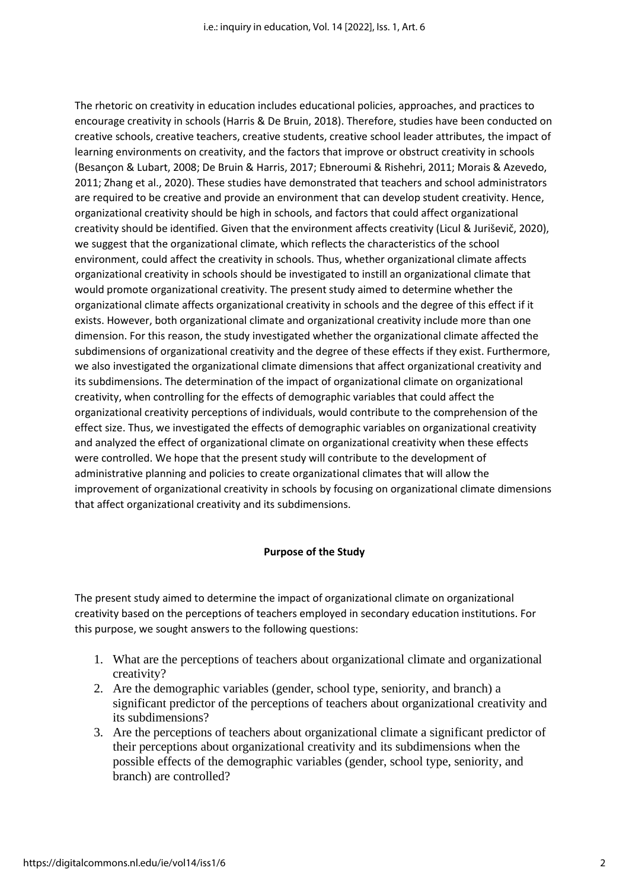The rhetoric on creativity in education includes educational policies, approaches, and practices to encourage creativity in schools (Harris & De Bruin, 2018). Therefore, studies have been conducted on creative schools, creative teachers, creative students, creative school leader attributes, the impact of learning environments on creativity, and the factors that improve or obstruct creativity in schools (Besançon & Lubart, 2008; De Bruin & Harris, 2017; Ebneroumi & Rishehri, 2011; Morais & Azevedo, 2011; Zhang et al., 2020). These studies have demonstrated that teachers and school administrators are required to be creative and provide an environment that can develop student creativity. Hence, organizational creativity should be high in schools, and factors that could affect organizational creativity should be identified. Given that the environment affects creativity (Licul & Juriševič, 2020), we suggest that the organizational climate, which reflects the characteristics of the school environment, could affect the creativity in schools. Thus, whether organizational climate affects organizational creativity in schools should be investigated to instill an organizational climate that would promote organizational creativity. The present study aimed to determine whether the organizational climate affects organizational creativity in schools and the degree of this effect if it exists. However, both organizational climate and organizational creativity include more than one dimension. For this reason, the study investigated whether the organizational climate affected the subdimensions of organizational creativity and the degree of these effects if they exist. Furthermore, we also investigated the organizational climate dimensions that affect organizational creativity and its subdimensions. The determination of the impact of organizational climate on organizational creativity, when controlling for the effects of demographic variables that could affect the organizational creativity perceptions of individuals, would contribute to the comprehension of the effect size. Thus, we investigated the effects of demographic variables on organizational creativity and analyzed the effect of organizational climate on organizational creativity when these effects were controlled. We hope that the present study will contribute to the development of administrative planning and policies to create organizational climates that will allow the improvement of organizational creativity in schools by focusing on organizational climate dimensions that affect organizational creativity and its subdimensions.

# **Purpose of the Study**

The present study aimed to determine the impact of organizational climate on organizational creativity based on the perceptions of teachers employed in secondary education institutions. For this purpose, we sought answers to the following questions:

- 1. What are the perceptions of teachers about organizational climate and organizational creativity?
- 2. Are the demographic variables (gender, school type, seniority, and branch) a significant predictor of the perceptions of teachers about organizational creativity and its subdimensions?
- 3. Are the perceptions of teachers about organizational climate a significant predictor of their perceptions about organizational creativity and its subdimensions when the possible effects of the demographic variables (gender, school type, seniority, and branch) are controlled?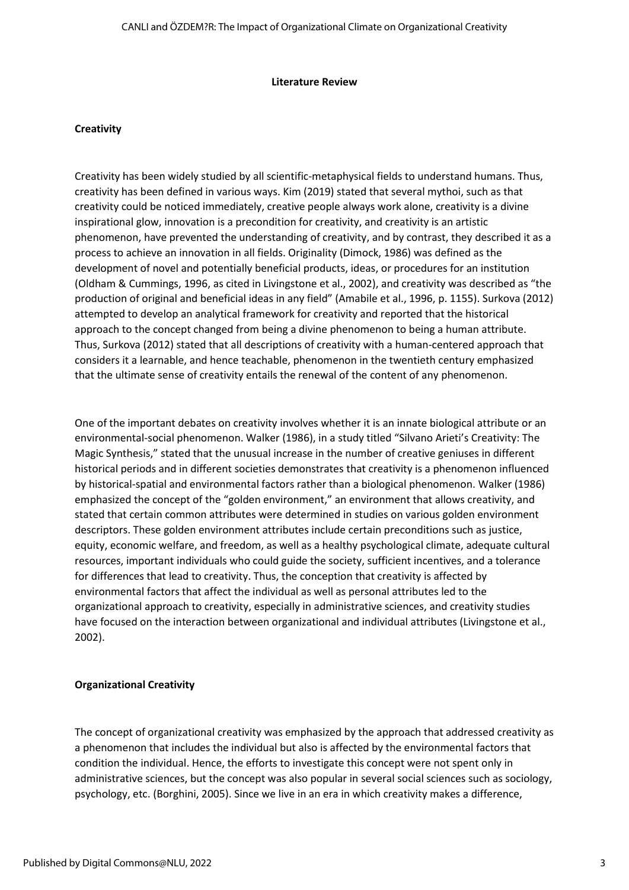#### **Literature Review**

#### **Creativity**

Creativity has been widely studied by all scientific-metaphysical fields to understand humans. Thus, creativity has been defined in various ways. Kim (2019) stated that several mythoi, such as that creativity could be noticed immediately, creative people always work alone, creativity is a divine inspirational glow, innovation is a precondition for creativity, and creativity is an artistic phenomenon, have prevented the understanding of creativity, and by contrast, they described it as a process to achieve an innovation in all fields. Originality (Dimock, 1986) was defined as the development of novel and potentially beneficial products, ideas, or procedures for an institution (Oldham & Cummings, 1996, as cited in Livingstone et al., 2002), and creativity was described as "the production of original and beneficial ideas in any field" (Amabile et al., 1996, p. 1155). Surkova (2012) attempted to develop an analytical framework for creativity and reported that the historical approach to the concept changed from being a divine phenomenon to being a human attribute. Thus, Surkova (2012) stated that all descriptions of creativity with a human-centered approach that considers it a learnable, and hence teachable, phenomenon in the twentieth century emphasized that the ultimate sense of creativity entails the renewal of the content of any phenomenon.

One of the important debates on creativity involves whether it is an innate biological attribute or an environmental-social phenomenon. Walker (1986), in a study titled "Silvano Arieti's Creativity: The Magic Synthesis," stated that the unusual increase in the number of creative geniuses in different historical periods and in different societies demonstrates that creativity is a phenomenon influenced by historical-spatial and environmental factors rather than a biological phenomenon. Walker (1986) emphasized the concept of the "golden environment," an environment that allows creativity, and stated that certain common attributes were determined in studies on various golden environment descriptors. These golden environment attributes include certain preconditions such as justice, equity, economic welfare, and freedom, as well as a healthy psychological climate, adequate cultural resources, important individuals who could guide the society, sufficient incentives, and a tolerance for differences that lead to creativity. Thus, the conception that creativity is affected by environmental factors that affect the individual as well as personal attributes led to the organizational approach to creativity, especially in administrative sciences, and creativity studies have focused on the interaction between organizational and individual attributes (Livingstone et al., 2002).

# **Organizational Creativity**

The concept of organizational creativity was emphasized by the approach that addressed creativity as a phenomenon that includes the individual but also is affected by the environmental factors that condition the individual. Hence, the efforts to investigate this concept were not spent only in administrative sciences, but the concept was also popular in several social sciences such as sociology, psychology, etc. (Borghini, 2005). Since we live in an era in which creativity makes a difference,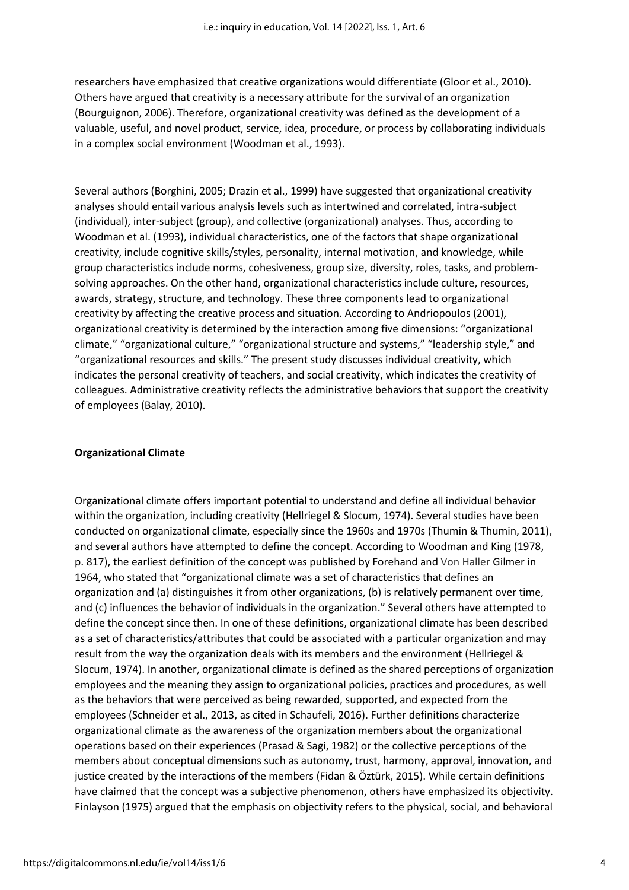researchers have emphasized that creative organizations would differentiate (Gloor et al., 2010). Others have argued that creativity is a necessary attribute for the survival of an organization (Bourguignon, 2006). Therefore, organizational creativity was defined as the development of a valuable, useful, and novel product, service, idea, procedure, or process by collaborating individuals in a complex social environment (Woodman et al., 1993).

Several authors (Borghini, 2005; Drazin et al., 1999) have suggested that organizational creativity analyses should entail various analysis levels such as intertwined and correlated, intra-subject (individual), inter-subject (group), and collective (organizational) analyses. Thus, according to Woodman et al. (1993), individual characteristics, one of the factors that shape organizational creativity, include cognitive skills/styles, personality, internal motivation, and knowledge, while group characteristics include norms, cohesiveness, group size, diversity, roles, tasks, and problemsolving approaches. On the other hand, organizational characteristics include culture, resources, awards, strategy, structure, and technology. These three components lead to organizational creativity by affecting the creative process and situation. According to Andriopoulos (2001), organizational creativity is determined by the interaction among five dimensions: "organizational climate," "organizational culture," "organizational structure and systems," "leadership style," and "organizational resources and skills." The present study discusses individual creativity, which indicates the personal creativity of teachers, and social creativity, which indicates the creativity of colleagues. Administrative creativity reflects the administrative behaviors that support the creativity of employees (Balay, 2010).

#### **Organizational Climate**

Organizational climate offers important potential to understand and define all individual behavior within the organization, including creativity (Hellriegel & Slocum, 1974). Several studies have been conducted on organizational climate, especially since the 1960s and 1970s (Thumin & Thumin, 2011), and several authors have attempted to define the concept. According to Woodman and King (1978, p. 817), the earliest definition of the concept was published by Forehand and Von Haller Gilmer in 1964, who stated that "organizational climate was a set of characteristics that defines an organization and (a) distinguishes it from other organizations, (b) is relatively permanent over time, and (c) influences the behavior of individuals in the organization." Several others have attempted to define the concept since then. In one of these definitions, organizational climate has been described as a set of characteristics/attributes that could be associated with a particular organization and may result from the way the organization deals with its members and the environment (Hellriegel & Slocum, 1974). In another, organizational climate is defined as the shared perceptions of organization employees and the meaning they assign to organizational policies, practices and procedures, as well as the behaviors that were perceived as being rewarded, supported, and expected from the employees (Schneider et al., 2013, as cited in Schaufeli, 2016). Further definitions characterize organizational climate as the awareness of the organization members about the organizational operations based on their experiences (Prasad & Sagi, 1982) or the collective perceptions of the members about conceptual dimensions such as autonomy, trust, harmony, approval, innovation, and justice created by the interactions of the members (Fidan & Öztürk, 2015). While certain definitions have claimed that the concept was a subjective phenomenon, others have emphasized its objectivity. Finlayson (1975) argued that the emphasis on objectivity refers to the physical, social, and behavioral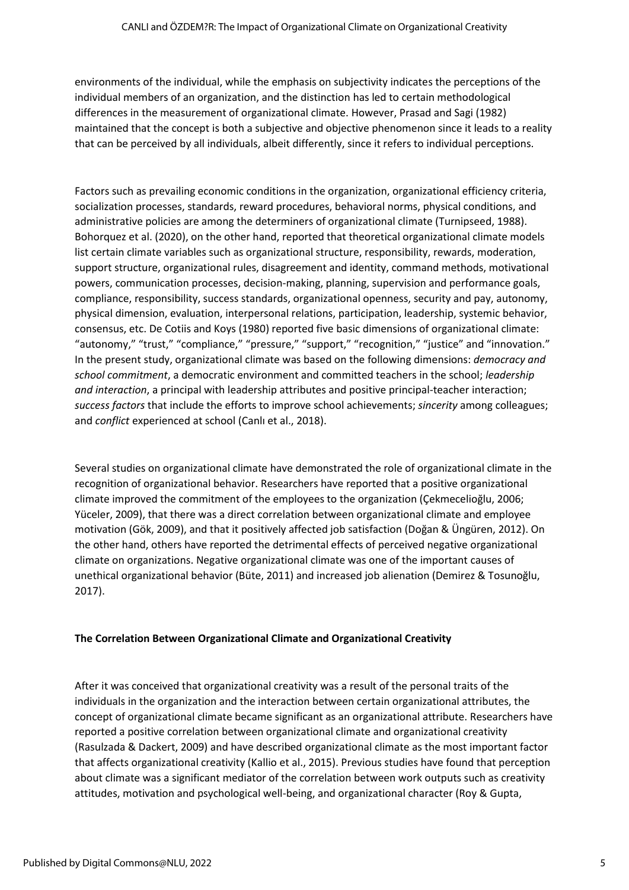environments of the individual, while the emphasis on subjectivity indicates the perceptions of the individual members of an organization, and the distinction has led to certain methodological differences in the measurement of organizational climate. However, Prasad and Sagi (1982) maintained that the concept is both a subjective and objective phenomenon since it leads to a reality that can be perceived by all individuals, albeit differently, since it refers to individual perceptions.

Factors such as prevailing economic conditions in the organization, organizational efficiency criteria, socialization processes, standards, reward procedures, behavioral norms, physical conditions, and administrative policies are among the determiners of organizational climate (Turnipseed, 1988). Bohorquez et al. (2020), on the other hand, reported that theoretical organizational climate models list certain climate variables such as organizational structure, responsibility, rewards, moderation, support structure, organizational rules, disagreement and identity, command methods, motivational powers, communication processes, decision-making, planning, supervision and performance goals, compliance, responsibility, success standards, organizational openness, security and pay, autonomy, physical dimension, evaluation, interpersonal relations, participation, leadership, systemic behavior, consensus, etc. De Cotiis and Koys (1980) reported five basic dimensions of organizational climate: "autonomy," "trust," "compliance," "pressure," "support," "recognition," "justice" and "innovation." In the present study, organizational climate was based on the following dimensions: *democracy and school commitment*, a democratic environment and committed teachers in the school; *leadership and interaction*, a principal with leadership attributes and positive principal-teacher interaction; *success factors* that include the efforts to improve school achievements; *sincerity* among colleagues; and *conflict* experienced at school (Canlı et al., 2018).

Several studies on organizational climate have demonstrated the role of organizational climate in the recognition of organizational behavior. Researchers have reported that a positive organizational climate improved the commitment of the employees to the organization (Çekmecelioğlu, 2006; Yüceler, 2009), that there was a direct correlation between organizational climate and employee motivation (Gök, 2009), and that it positively affected job satisfaction (Doğan & Üngüren, 2012). On the other hand, others have reported the detrimental effects of perceived negative organizational climate on organizations. Negative organizational climate was one of the important causes of unethical organizational behavior (Büte, 2011) and increased job alienation (Demirez & Tosunoğlu, 2017).

# **The Correlation Between Organizational Climate and Organizational Creativity**

After it was conceived that organizational creativity was a result of the personal traits of the individuals in the organization and the interaction between certain organizational attributes, the concept of organizational climate became significant as an organizational attribute. Researchers have reported a positive correlation between organizational climate and organizational creativity (Rasulzada & Dackert, 2009) and have described organizational climate as the most important factor that affects organizational creativity (Kallio et al., 2015). Previous studies have found that perception about climate was a significant mediator of the correlation between work outputs such as creativity attitudes, motivation and psychological well-being, and organizational character (Roy & Gupta,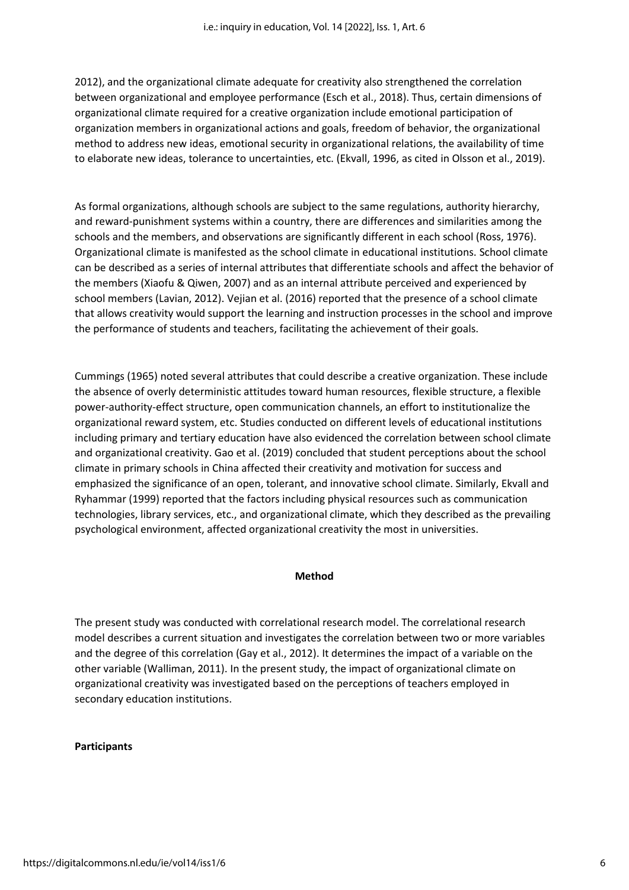2012), and the organizational climate adequate for creativity also strengthened the correlation between organizational and employee performance (Esch et al., 2018). Thus, certain dimensions of organizational climate required for a creative organization include emotional participation of organization members in organizational actions and goals, freedom of behavior, the organizational method to address new ideas, emotional security in organizational relations, the availability of time to elaborate new ideas, tolerance to uncertainties, etc. (Ekvall, 1996, as cited in Olsson et al., 2019).

As formal organizations, although schools are subject to the same regulations, authority hierarchy, and reward-punishment systems within a country, there are differences and similarities among the schools and the members, and observations are significantly different in each school (Ross, 1976). Organizational climate is manifested as the school climate in educational institutions. School climate can be described as a series of internal attributes that differentiate schools and affect the behavior of the members (Xiaofu & Qiwen, 2007) and as an internal attribute perceived and experienced by school members (Lavian, 2012). Vejian et al. (2016) reported that the presence of a school climate that allows creativity would support the learning and instruction processes in the school and improve the performance of students and teachers, facilitating the achievement of their goals.

Cummings (1965) noted several attributes that could describe a creative organization. These include the absence of overly deterministic attitudes toward human resources, flexible structure, a flexible power-authority-effect structure, open communication channels, an effort to institutionalize the organizational reward system, etc. Studies conducted on different levels of educational institutions including primary and tertiary education have also evidenced the correlation between school climate and organizational creativity. Gao et al. (2019) concluded that student perceptions about the school climate in primary schools in China affected their creativity and motivation for success and emphasized the significance of an open, tolerant, and innovative school climate. Similarly, Ekvall and Ryhammar (1999) reported that the factors including physical resources such as communication technologies, library services, etc., and organizational climate, which they described as the prevailing psychological environment, affected organizational creativity the most in universities.

#### **Method**

The present study was conducted with correlational research model. The correlational research model describes a current situation and investigates the correlation between two or more variables and the degree of this correlation (Gay et al., 2012). It determines the impact of a variable on the other variable (Walliman, 2011). In the present study, the impact of organizational climate on organizational creativity was investigated based on the perceptions of teachers employed in secondary education institutions.

#### **Participants**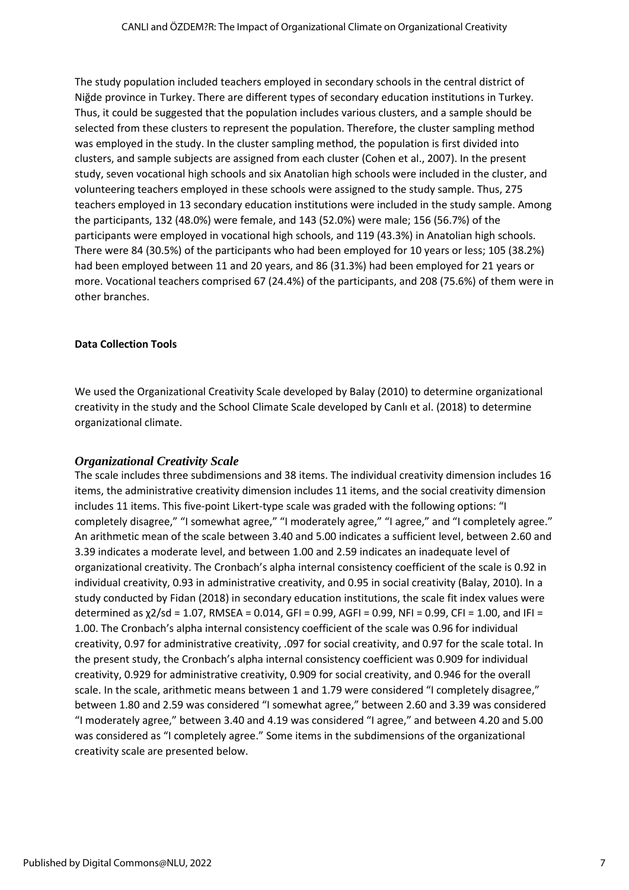The study population included teachers employed in secondary schools in the central district of Niğde province in Turkey. There are different types of secondary education institutions in Turkey. Thus, it could be suggested that the population includes various clusters, and a sample should be selected from these clusters to represent the population. Therefore, the cluster sampling method was employed in the study. In the cluster sampling method, the population is first divided into clusters, and sample subjects are assigned from each cluster (Cohen et al., 2007). In the present study, seven vocational high schools and six Anatolian high schools were included in the cluster, and volunteering teachers employed in these schools were assigned to the study sample. Thus, 275 teachers employed in 13 secondary education institutions were included in the study sample. Among the participants, 132 (48.0%) were female, and 143 (52.0%) were male; 156 (56.7%) of the participants were employed in vocational high schools, and 119 (43.3%) in Anatolian high schools. There were 84 (30.5%) of the participants who had been employed for 10 years or less; 105 (38.2%) had been employed between 11 and 20 years, and 86 (31.3%) had been employed for 21 years or more. Vocational teachers comprised 67 (24.4%) of the participants, and 208 (75.6%) of them were in other branches.

# **Data Collection Tools**

We used the Organizational Creativity Scale developed by Balay (2010) to determine organizational creativity in the study and the School Climate Scale developed by Canlı et al. (2018) to determine organizational climate.

# *Organizational Creativity Scale*

The scale includes three subdimensions and 38 items. The individual creativity dimension includes 16 items, the administrative creativity dimension includes 11 items, and the social creativity dimension includes 11 items. This five-point Likert-type scale was graded with the following options: "I completely disagree," "I somewhat agree," "I moderately agree," "I agree," and "I completely agree." An arithmetic mean of the scale between 3.40 and 5.00 indicates a sufficient level, between 2.60 and 3.39 indicates a moderate level, and between 1.00 and 2.59 indicates an inadequate level of organizational creativity. The Cronbach's alpha internal consistency coefficient of the scale is 0.92 in individual creativity, 0.93 in administrative creativity, and 0.95 in social creativity (Balay, 2010). In a study conducted by Fidan (2018) in secondary education institutions, the scale fit index values were determined as χ2/sd = 1.07, RMSEA = 0.014, GFI = 0.99, AGFI = 0.99, NFI = 0.99, CFI = 1.00, and IFI = 1.00. The Cronbach's alpha internal consistency coefficient of the scale was 0.96 for individual creativity, 0.97 for administrative creativity, .097 for social creativity, and 0.97 for the scale total. In the present study, the Cronbach's alpha internal consistency coefficient was 0.909 for individual creativity, 0.929 for administrative creativity, 0.909 for social creativity, and 0.946 for the overall scale. In the scale, arithmetic means between 1 and 1.79 were considered "I completely disagree," between 1.80 and 2.59 was considered "I somewhat agree," between 2.60 and 3.39 was considered "I moderately agree," between 3.40 and 4.19 was considered "I agree," and between 4.20 and 5.00 was considered as "I completely agree." Some items in the subdimensions of the organizational creativity scale are presented below.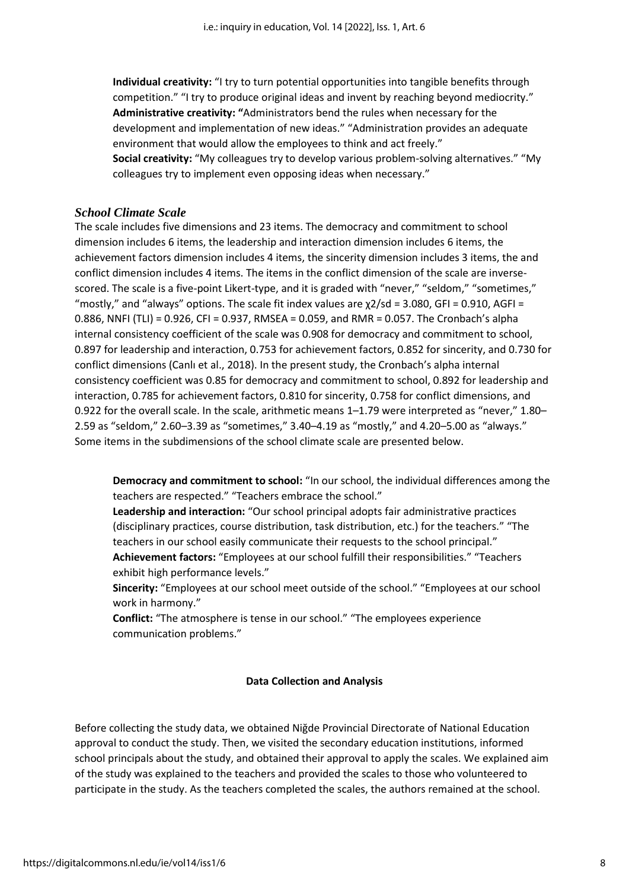**Individual creativity:** "I try to turn potential opportunities into tangible benefits through competition." "I try to produce original ideas and invent by reaching beyond mediocrity." **Administrative creativity: "**Administrators bend the rules when necessary for the development and implementation of new ideas." "Administration provides an adequate environment that would allow the employees to think and act freely." **Social creativity:** "My colleagues try to develop various problem-solving alternatives." "My colleagues try to implement even opposing ideas when necessary."

#### *School Climate Scale*

The scale includes five dimensions and 23 items. The democracy and commitment to school dimension includes 6 items, the leadership and interaction dimension includes 6 items, the achievement factors dimension includes 4 items, the sincerity dimension includes 3 items, the and conflict dimension includes 4 items. The items in the conflict dimension of the scale are inversescored. The scale is a five-point Likert-type, and it is graded with "never," "seldom," "sometimes," "mostly," and "always" options. The scale fit index values are  $\chi$ 2/sd = 3.080, GFI = 0.910, AGFI = 0.886, NNFI (TLI) = 0.926, CFI = 0.937, RMSEA = 0.059, and RMR = 0.057. The Cronbach's alpha internal consistency coefficient of the scale was 0.908 for democracy and commitment to school, 0.897 for leadership and interaction, 0.753 for achievement factors, 0.852 for sincerity, and 0.730 for conflict dimensions (Canlı et al., 2018). In the present study, the Cronbach's alpha internal consistency coefficient was 0.85 for democracy and commitment to school, 0.892 for leadership and interaction, 0.785 for achievement factors, 0.810 for sincerity, 0.758 for conflict dimensions, and 0.922 for the overall scale. In the scale, arithmetic means 1–1.79 were interpreted as "never," 1.80– 2.59 as "seldom," 2.60–3.39 as "sometimes," 3.40–4.19 as "mostly," and 4.20–5.00 as "always." Some items in the subdimensions of the school climate scale are presented below.

**Democracy and commitment to school:** "In our school, the individual differences among the teachers are respected." "Teachers embrace the school."

**Leadership and interaction:** "Our school principal adopts fair administrative practices (disciplinary practices, course distribution, task distribution, etc.) for the teachers." "The teachers in our school easily communicate their requests to the school principal." **Achievement factors:** "Employees at our school fulfill their responsibilities." "Teachers exhibit high performance levels."

**Sincerity:** "Employees at our school meet outside of the school." "Employees at our school work in harmony."

**Conflict:** "The atmosphere is tense in our school." "The employees experience communication problems."

#### **Data Collection and Analysis**

Before collecting the study data, we obtained Niğde Provincial Directorate of National Education approval to conduct the study. Then, we visited the secondary education institutions, informed school principals about the study, and obtained their approval to apply the scales. We explained aim of the study was explained to the teachers and provided the scales to those who volunteered to participate in the study. As the teachers completed the scales, the authors remained at the school.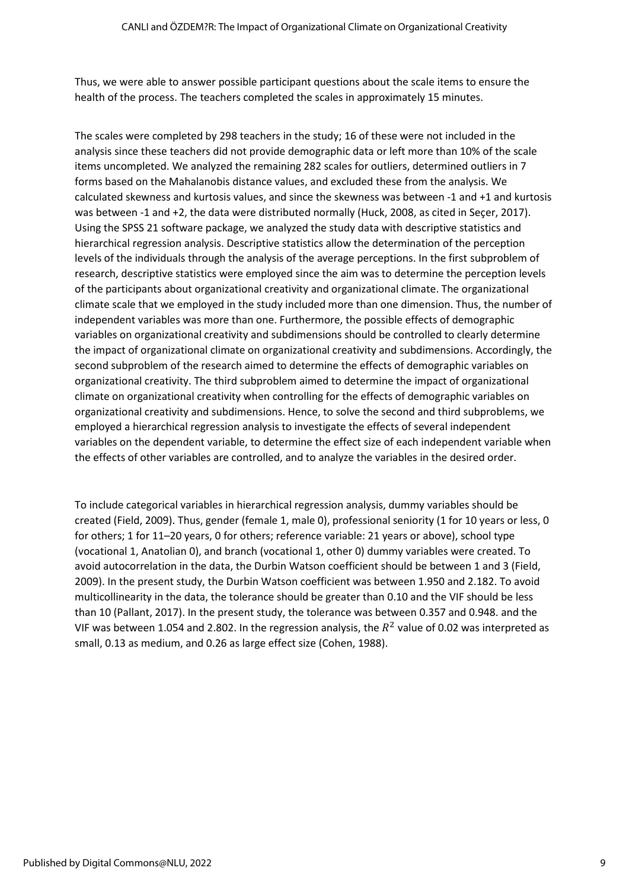Thus, we were able to answer possible participant questions about the scale items to ensure the health of the process. The teachers completed the scales in approximately 15 minutes.

The scales were completed by 298 teachers in the study; 16 of these were not included in the analysis since these teachers did not provide demographic data or left more than 10% of the scale items uncompleted. We analyzed the remaining 282 scales for outliers, determined outliers in 7 forms based on the Mahalanobis distance values, and excluded these from the analysis. We calculated skewness and kurtosis values, and since the skewness was between -1 and +1 and kurtosis was between -1 and +2, the data were distributed normally (Huck, 2008, as cited in Seçer, 2017). Using the SPSS 21 software package, we analyzed the study data with descriptive statistics and hierarchical regression analysis. Descriptive statistics allow the determination of the perception levels of the individuals through the analysis of the average perceptions. In the first subproblem of research, descriptive statistics were employed since the aim was to determine the perception levels of the participants about organizational creativity and organizational climate. The organizational climate scale that we employed in the study included more than one dimension. Thus, the number of independent variables was more than one. Furthermore, the possible effects of demographic variables on organizational creativity and subdimensions should be controlled to clearly determine the impact of organizational climate on organizational creativity and subdimensions. Accordingly, the second subproblem of the research aimed to determine the effects of demographic variables on organizational creativity. The third subproblem aimed to determine the impact of organizational climate on organizational creativity when controlling for the effects of demographic variables on organizational creativity and subdimensions. Hence, to solve the second and third subproblems, we employed a hierarchical regression analysis to investigate the effects of several independent variables on the dependent variable, to determine the effect size of each independent variable when the effects of other variables are controlled, and to analyze the variables in the desired order.

To include categorical variables in hierarchical regression analysis, dummy variables should be created (Field, 2009). Thus, gender (female 1, male 0), professional seniority (1 for 10 years or less, 0 for others; 1 for 11–20 years, 0 for others; reference variable: 21 years or above), school type (vocational 1, Anatolian 0), and branch (vocational 1, other 0) dummy variables were created. To avoid autocorrelation in the data, the Durbin Watson coefficient should be between 1 and 3 (Field, 2009). In the present study, the Durbin Watson coefficient was between 1.950 and 2.182. To avoid multicollinearity in the data, the tolerance should be greater than 0.10 and the VIF should be less than 10 (Pallant, 2017). In the present study, the tolerance was between 0.357 and 0.948. and the VIF was between 1.054 and 2.802. In the regression analysis, the  $R^2$  value of 0.02 was interpreted as small, 0.13 as medium, and 0.26 as large effect size (Cohen, 1988).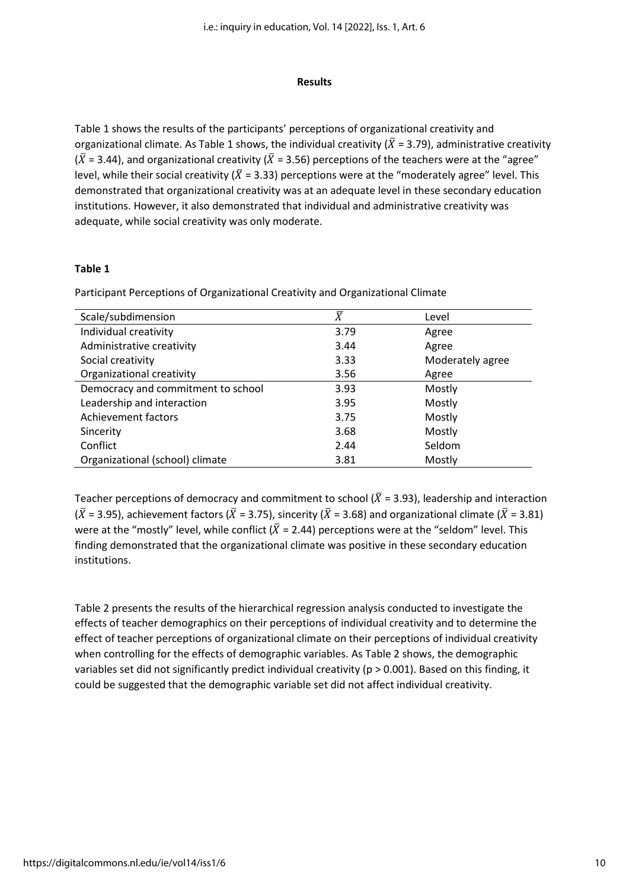#### **Results**

Table 1 shows the results of the participants' perceptions of organizational creativity and organizational climate. As Table 1 shows, the individual creativity ( $\bar{X}$  = 3.79), administrative creativity  $(\bar{X} = 3.44)$ , and organizational creativity ( $\bar{X} = 3.56$ ) perceptions of the teachers were at the "agree" level, while their social creativity ( $\bar{X}$  = 3.33) perceptions were at the "moderately agree" level. This demonstrated that organizational creativity was at an adequate level in these secondary education institutions. However, it also demonstrated that individual and administrative creativity was adequate, while social creativity was only moderate.

#### **Table 1**

Participant Perceptions of Organizational Creativity and Organizational Climate

| Scale/subdimension                 | $\overline{X}$ | Level            |
|------------------------------------|----------------|------------------|
| Individual creativity              | 3.79           | Agree            |
| Administrative creativity          | 3.44           | Agree            |
| Social creativity                  | 3.33           | Moderately agree |
| Organizational creativity          | 3.56           | Agree            |
| Democracy and commitment to school | 3.93           | Mostly           |
| Leadership and interaction         | 3.95           | Mostly           |
| Achievement factors                | 3.75           | Mostly           |
| Sincerity                          | 3.68           | Mostly           |
| Conflict                           | 2.44           | Seldom           |
| Organizational (school) climate    | 3.81           | Mostly           |

Teacher perceptions of democracy and commitment to school ( $\overline{X}$  = 3.93), leadership and interaction  $(\bar{X} = 3.95)$ , achievement factors ( $\bar{X} = 3.75$ ), sincerity ( $\bar{X} = 3.68$ ) and organizational climate ( $\bar{X} = 3.81$ ) were at the "mostly" level, while conflict ( $\overline{X}$  = 2.44) perceptions were at the "seldom" level. This finding demonstrated that the organizational climate was positive in these secondary education institutions.

Table 2 presents the results of the hierarchical regression analysis conducted to investigate the effects of teacher demographics on their perceptions of individual creativity and to determine the effect of teacher perceptions of organizational climate on their perceptions of individual creativity when controlling for the effects of demographic variables. As Table 2 shows, the demographic variables set did not significantly predict individual creativity (p > 0.001). Based on this finding, it could be suggested that the demographic variable set did not affect individual creativity.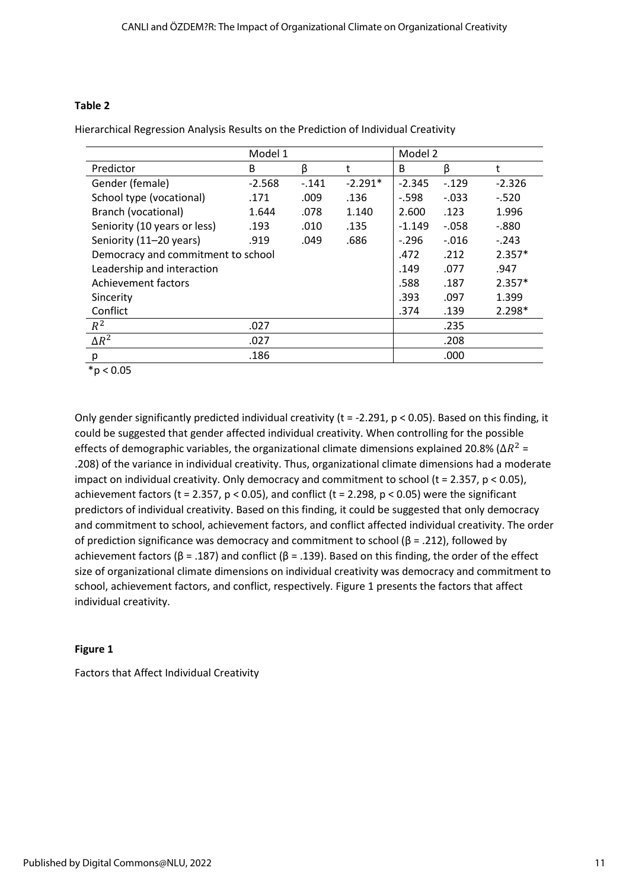# **Table 2**

Hierarchical Regression Analysis Results on the Prediction of Individual Creativity

|                                    | Model 1  |        |           | Model 2  |         |          |
|------------------------------------|----------|--------|-----------|----------|---------|----------|
| Predictor                          | B        | β      |           | B        | β       | t        |
| Gender (female)                    | $-2.568$ | $-141$ | $-2.291*$ | $-2.345$ | $-129$  | $-2.326$ |
| School type (vocational)           | .171     | .009   | .136      | $-.598$  | $-.033$ | $-.520$  |
| Branch (vocational)                | 1.644    | .078   | 1.140     | 2.600    | .123    | 1.996    |
| Seniority (10 years or less)       | .193     | .010   | .135      | $-1.149$ | $-.058$ | $-.880$  |
| Seniority (11-20 years)            | .919     | .049   | .686      | $-296$   | $-.016$ | $-.243$  |
| Democracy and commitment to school |          |        |           | .472     | .212    | $2.357*$ |
| Leadership and interaction         |          |        |           | .149     | .077    | .947     |
| Achievement factors                |          |        |           | .588     | .187    | $2.357*$ |
| Sincerity                          |          |        |           | .393     | .097    | 1.399    |
| Conflict                           |          |        |           | .374     | .139    | $2.298*$ |
| $R^2$                              | .027     |        |           |          | .235    |          |
| $\Delta R^2$                       | .027     |        |           |          | .208    |          |
| р                                  | .186     |        |           |          | .000    |          |

 $*p < 0.05$ 

Only gender significantly predicted individual creativity ( $t = -2.291$ ,  $p < 0.05$ ). Based on this finding, it could be suggested that gender affected individual creativity. When controlling for the possible effects of demographic variables, the organizational climate dimensions explained 20.8% ( $\Delta R^2$  = .208) of the variance in individual creativity. Thus, organizational climate dimensions had a moderate impact on individual creativity. Only democracy and commitment to school (t = 2.357, p < 0.05), achievement factors (t = 2.357,  $p < 0.05$ ), and conflict (t = 2.298,  $p < 0.05$ ) were the significant predictors of individual creativity. Based on this finding, it could be suggested that only democracy and commitment to school, achievement factors, and conflict affected individual creativity. The order of prediction significance was democracy and commitment to school (β = .212), followed by achievement factors ( $β = .187$ ) and conflict ( $β = .139$ ). Based on this finding, the order of the effect size of organizational climate dimensions on individual creativity was democracy and commitment to school, achievement factors, and conflict, respectively. Figure 1 presents the factors that affect individual creativity.

# **Figure 1**

Factors that Affect Individual Creativity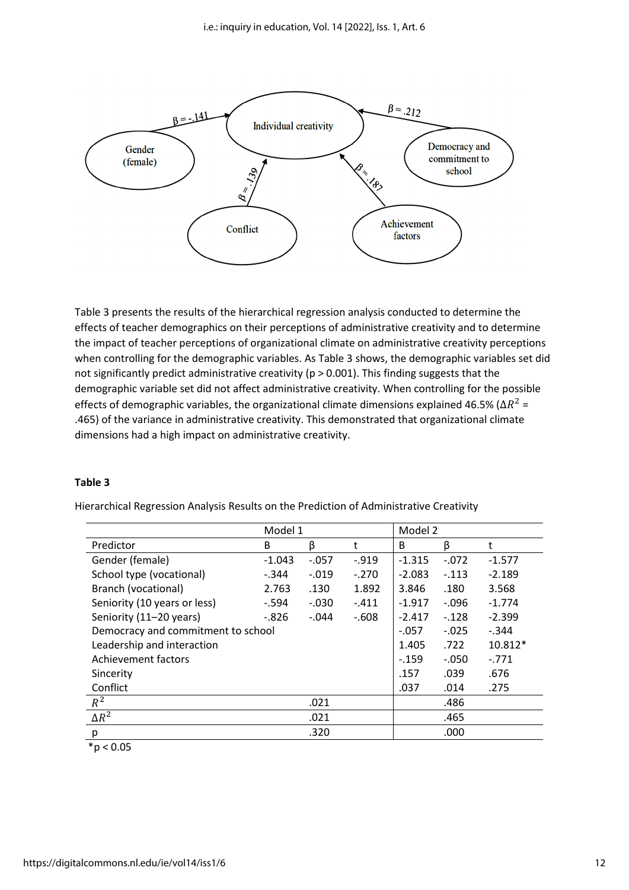

Table 3 presents the results of the hierarchical regression analysis conducted to determine the effects of teacher demographics on their perceptions of administrative creativity and to determine the impact of teacher perceptions of organizational climate on administrative creativity perceptions when controlling for the demographic variables. As Table 3 shows, the demographic variables set did not significantly predict administrative creativity ( $p > 0.001$ ). This finding suggests that the demographic variable set did not affect administrative creativity. When controlling for the possible effects of demographic variables, the organizational climate dimensions explained 46.5% ( $\Delta R^2$  = .465) of the variance in administrative creativity. This demonstrated that organizational climate dimensions had a high impact on administrative creativity.

# **Table 3**

Hierarchical Regression Analysis Results on the Prediction of Administrative Creativity

|                                    | Model 1  |         |         | Model 2  |          |          |
|------------------------------------|----------|---------|---------|----------|----------|----------|
| Predictor                          | B        | β       | t       | B        | β        | t        |
| Gender (female)                    | $-1.043$ | $-.057$ | $-.919$ | $-1.315$ | $-.072$  | $-1.577$ |
| School type (vocational)           | $-.344$  | $-.019$ | $-.270$ | $-2.083$ | $-113$   | $-2.189$ |
| Branch (vocational)                | 2.763    | .130    | 1.892   | 3.846    | .180     | 3.568    |
| Seniority (10 years or less)       | $-594$   | $-.030$ | $-.411$ | $-1.917$ | $-.096$  | $-1.774$ |
| Seniority (11-20 years)            | $-826$   | $-.044$ | $-608$  | $-2.417$ | $-.128$  | $-2.399$ |
| Democracy and commitment to school |          |         |         | $-0.057$ | $-0.025$ | $-.344$  |
| Leadership and interaction         |          |         |         | 1.405    | .722     | 10.812*  |
| Achievement factors                |          |         |         | $-159$   | $-.050$  | $-771$   |
| Sincerity                          |          |         |         | .157     | .039     | .676     |
| Conflict                           |          |         |         | .037     | .014     | .275     |
| $R^2$                              |          | .021    |         |          | .486     |          |
| $\Delta R^2$                       |          | .021    |         |          | .465     |          |
| р                                  |          | .320    |         |          | .000     |          |

 $*p < 0.05$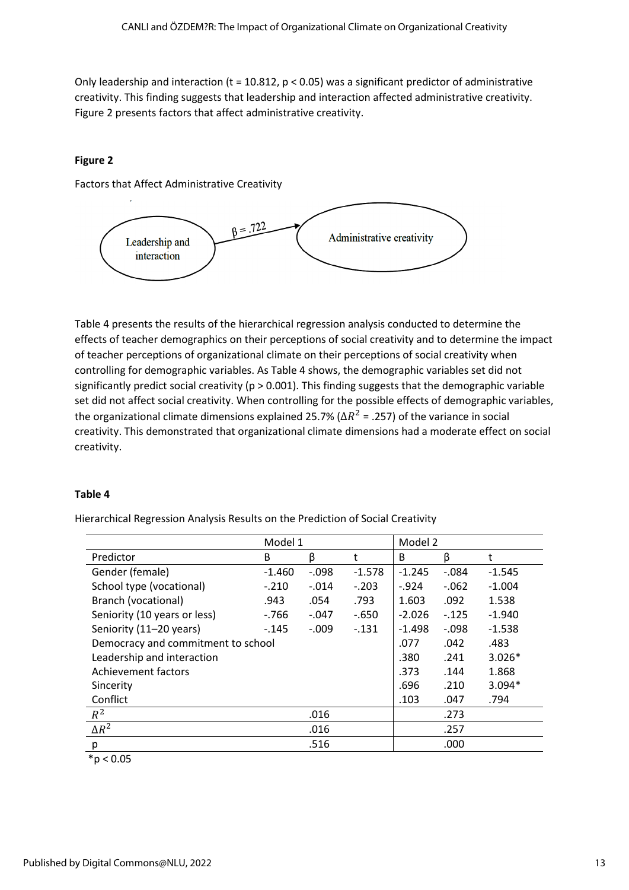Only leadership and interaction (t = 10.812,  $p < 0.05$ ) was a significant predictor of administrative creativity. This finding suggests that leadership and interaction affected administrative creativity. Figure 2 presents factors that affect administrative creativity.

# **Figure 2**

Factors that Affect Administrative Creativity



Table 4 presents the results of the hierarchical regression analysis conducted to determine the effects of teacher demographics on their perceptions of social creativity and to determine the impact of teacher perceptions of organizational climate on their perceptions of social creativity when controlling for demographic variables. As Table 4 shows, the demographic variables set did not significantly predict social creativity (p > 0.001). This finding suggests that the demographic variable set did not affect social creativity. When controlling for the possible effects of demographic variables, the organizational climate dimensions explained 25.7% ( $\Delta R^2$  = .257) of the variance in social creativity. This demonstrated that organizational climate dimensions had a moderate effect on social creativity.

# **Table 4**

Hierarchical Regression Analysis Results on the Prediction of Social Creativity

|                                    | Model 1  |         |          | Model 2  |         |          |
|------------------------------------|----------|---------|----------|----------|---------|----------|
| Predictor                          | B        | β       | t        | B        | β       | t        |
| Gender (female)                    | $-1.460$ | $-.098$ | $-1.578$ | $-1.245$ | $-.084$ | $-1.545$ |
| School type (vocational)           | $-.210$  | $-.014$ | $-.203$  | $-0.924$ | $-.062$ | $-1.004$ |
| Branch (vocational)                | .943     | .054    | .793     | 1.603    | .092    | 1.538    |
| Seniority (10 years or less)       | $-766$   | $-.047$ | -.650    | $-2.026$ | $-125$  | $-1.940$ |
| Seniority (11-20 years)            | $-145$   | $-.009$ | $-131$   | $-1.498$ | $-.098$ | $-1.538$ |
| Democracy and commitment to school |          |         |          | .077     | .042    | .483     |
| Leadership and interaction         |          |         |          | .380     | .241    | $3.026*$ |
| Achievement factors                |          |         |          | .373     | .144    | 1.868    |
| Sincerity                          |          |         |          | .696     | .210    | $3.094*$ |
| Conflict                           |          |         |          | .103     | .047    | .794     |
| $R^2$                              |          | .016    |          |          | .273    |          |
| $\Delta R^2$                       |          | .016    |          |          | .257    |          |
| р                                  |          | .516    |          |          | .000    |          |

 $*p < 0.05$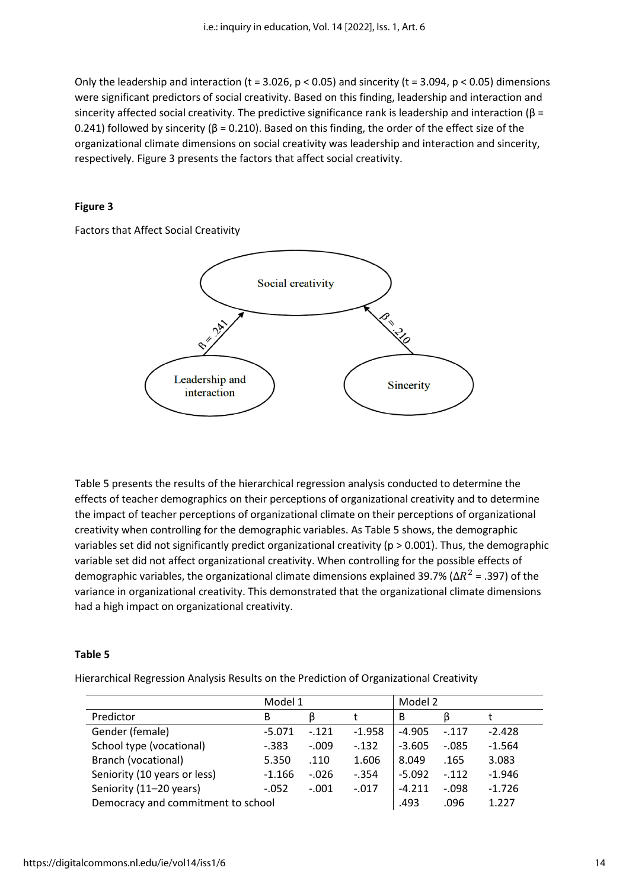Only the leadership and interaction (t = 3.026,  $p < 0.05$ ) and sincerity (t = 3.094,  $p < 0.05$ ) dimensions were significant predictors of social creativity. Based on this finding, leadership and interaction and sincerity affected social creativity. The predictive significance rank is leadership and interaction ( $\beta$  = 0.241) followed by sincerity (β = 0.210). Based on this finding, the order of the effect size of the organizational climate dimensions on social creativity was leadership and interaction and sincerity, respectively. Figure 3 presents the factors that affect social creativity.

# **Figure 3**

Factors that Affect Social Creativity



Table 5 presents the results of the hierarchical regression analysis conducted to determine the effects of teacher demographics on their perceptions of organizational creativity and to determine the impact of teacher perceptions of organizational climate on their perceptions of organizational creativity when controlling for the demographic variables. As Table 5 shows, the demographic variables set did not significantly predict organizational creativity (p > 0.001). Thus, the demographic variable set did not affect organizational creativity. When controlling for the possible effects of demographic variables, the organizational climate dimensions explained 39.7% (Δ $R^2$  = .397) of the variance in organizational creativity. This demonstrated that the organizational climate dimensions had a high impact on organizational creativity.

# **Table 5**

Hierarchical Regression Analysis Results on the Prediction of Organizational Creativity

|                                    | Model 1  |         |          | Model 2  |          |          |
|------------------------------------|----------|---------|----------|----------|----------|----------|
| Predictor                          | B        |         |          | B        |          |          |
| Gender (female)                    | $-5.071$ | $-.121$ | $-1.958$ | $-4.905$ | $-.117$  | $-2.428$ |
| School type (vocational)           | $-0.383$ | $-.009$ | $-0.132$ | $-3.605$ | $-0.085$ | $-1.564$ |
| Branch (vocational)                | 5.350    | .110    | 1.606    | 8.049    | .165     | 3.083    |
| Seniority (10 years or less)       | $-1.166$ | $-.026$ | $-.354$  | $-5.092$ | $-.112$  | $-1.946$ |
| Seniority (11-20 years)            | $-.052$  | $-.001$ | $-.017$  | $-4.211$ | $-.098$  | $-1.726$ |
| Democracy and commitment to school |          |         | .493     | .096     | 1.227    |          |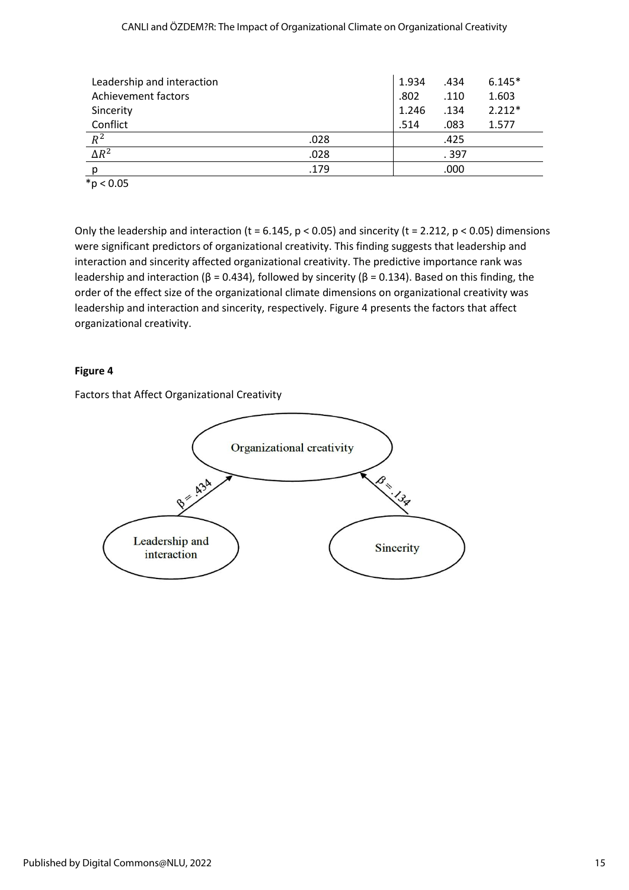|  | CANLI and ÖZDEM?R: The Impact of Organizational Climate on Organizational Creativity |  |
|--|--------------------------------------------------------------------------------------|--|
|  |                                                                                      |  |

| Leadership and interaction |      | 1.934 | .434  | $6.145*$ |
|----------------------------|------|-------|-------|----------|
| <b>Achievement factors</b> |      | .802  | .110  | 1.603    |
| Sincerity                  |      | 1.246 | .134  | $2.212*$ |
| Conflict                   |      | .514  | .083  | 1.577    |
| $R^2$                      | .028 |       | .425  |          |
| $\Delta R^2$               | .028 |       | . 397 |          |
| D                          | .179 |       | .000  |          |
| $*p < 0.05$                |      |       |       |          |

Only the leadership and interaction (t = 6.145,  $p < 0.05$ ) and sincerity (t = 2.212,  $p < 0.05$ ) dimensions were significant predictors of organizational creativity. This finding suggests that leadership and interaction and sincerity affected organizational creativity. The predictive importance rank was leadership and interaction (β = 0.434), followed by sincerity (β = 0.134). Based on this finding, the order of the effect size of the organizational climate dimensions on organizational creativity was leadership and interaction and sincerity, respectively. Figure 4 presents the factors that affect organizational creativity.

# **Figure 4**

Factors that Affect Organizational Creativity

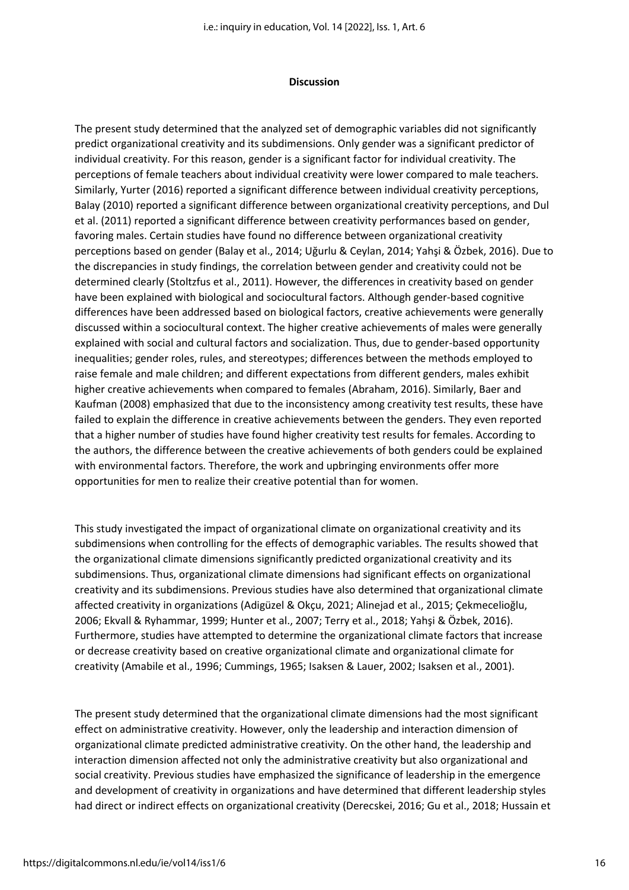#### **Discussion**

The present study determined that the analyzed set of demographic variables did not significantly predict organizational creativity and its subdimensions. Only gender was a significant predictor of individual creativity. For this reason, gender is a significant factor for individual creativity. The perceptions of female teachers about individual creativity were lower compared to male teachers. Similarly, Yurter (2016) reported a significant difference between individual creativity perceptions, Balay (2010) reported a significant difference between organizational creativity perceptions, and Dul et al. (2011) reported a significant difference between creativity performances based on gender, favoring males. Certain studies have found no difference between organizational creativity perceptions based on gender (Balay et al., 2014; Uğurlu & Ceylan, 2014; Yahşi & Özbek, 2016). Due to the discrepancies in study findings, the correlation between gender and creativity could not be determined clearly (Stoltzfus et al., 2011). However, the differences in creativity based on gender have been explained with biological and sociocultural factors. Although gender-based cognitive differences have been addressed based on biological factors, creative achievements were generally discussed within a sociocultural context. The higher creative achievements of males were generally explained with social and cultural factors and socialization. Thus, due to gender-based opportunity inequalities; gender roles, rules, and stereotypes; differences between the methods employed to raise female and male children; and different expectations from different genders, males exhibit higher creative achievements when compared to females (Abraham, 2016). Similarly, Baer and Kaufman (2008) emphasized that due to the inconsistency among creativity test results, these have failed to explain the difference in creative achievements between the genders. They even reported that a higher number of studies have found higher creativity test results for females. According to the authors, the difference between the creative achievements of both genders could be explained with environmental factors. Therefore, the work and upbringing environments offer more opportunities for men to realize their creative potential than for women.

This study investigated the impact of organizational climate on organizational creativity and its subdimensions when controlling for the effects of demographic variables. The results showed that the organizational climate dimensions significantly predicted organizational creativity and its subdimensions. Thus, organizational climate dimensions had significant effects on organizational creativity and its subdimensions. Previous studies have also determined that organizational climate affected creativity in organizations (Adigüzel & Okçu, 2021; Alinejad et al., 2015; Çekmecelioğlu, 2006; Ekvall & Ryhammar, 1999; Hunter et al., 2007; Terry et al., 2018; Yahşi & Özbek, 2016). Furthermore, studies have attempted to determine the organizational climate factors that increase or decrease creativity based on creative organizational climate and organizational climate for creativity (Amabile et al., 1996; Cummings, 1965; Isaksen & Lauer, 2002; Isaksen et al., 2001).

The present study determined that the organizational climate dimensions had the most significant effect on administrative creativity. However, only the leadership and interaction dimension of organizational climate predicted administrative creativity. On the other hand, the leadership and interaction dimension affected not only the administrative creativity but also organizational and social creativity. Previous studies have emphasized the significance of leadership in the emergence and development of creativity in organizations and have determined that different leadership styles had direct or indirect effects on organizational creativity (Derecskei, 2016; Gu et al., 2018; Hussain et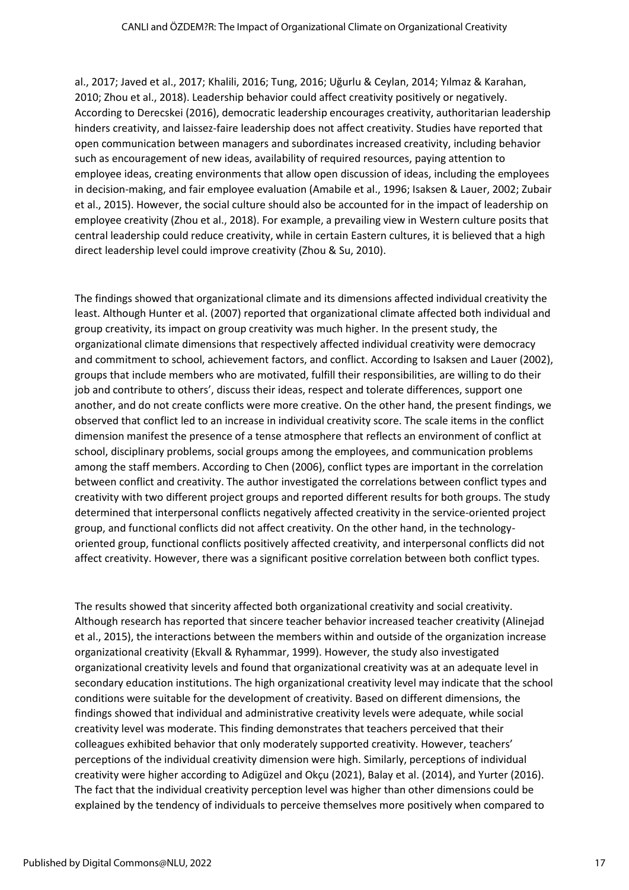al., 2017; Javed et al., 2017; Khalili, 2016; Tung, 2016; Uğurlu & Ceylan, 2014; Yılmaz & Karahan, 2010; Zhou et al., 2018). Leadership behavior could affect creativity positively or negatively. According to Derecskei (2016), democratic leadership encourages creativity, authoritarian leadership hinders creativity, and laissez-faire leadership does not affect creativity. Studies have reported that open communication between managers and subordinates increased creativity, including behavior such as encouragement of new ideas, availability of required resources, paying attention to employee ideas, creating environments that allow open discussion of ideas, including the employees in decision-making, and fair employee evaluation (Amabile et al., 1996; Isaksen & Lauer, 2002; Zubair et al., 2015). However, the social culture should also be accounted for in the impact of leadership on employee creativity (Zhou et al., 2018). For example, a prevailing view in Western culture posits that central leadership could reduce creativity, while in certain Eastern cultures, it is believed that a high direct leadership level could improve creativity (Zhou & Su, 2010).

The findings showed that organizational climate and its dimensions affected individual creativity the least. Although Hunter et al. (2007) reported that organizational climate affected both individual and group creativity, its impact on group creativity was much higher. In the present study, the organizational climate dimensions that respectively affected individual creativity were democracy and commitment to school, achievement factors, and conflict. According to Isaksen and Lauer (2002), groups that include members who are motivated, fulfill their responsibilities, are willing to do their job and contribute to others', discuss their ideas, respect and tolerate differences, support one another, and do not create conflicts were more creative. On the other hand, the present findings, we observed that conflict led to an increase in individual creativity score. The scale items in the conflict dimension manifest the presence of a tense atmosphere that reflects an environment of conflict at school, disciplinary problems, social groups among the employees, and communication problems among the staff members. According to Chen (2006), conflict types are important in the correlation between conflict and creativity. The author investigated the correlations between conflict types and creativity with two different project groups and reported different results for both groups. The study determined that interpersonal conflicts negatively affected creativity in the service-oriented project group, and functional conflicts did not affect creativity. On the other hand, in the technologyoriented group, functional conflicts positively affected creativity, and interpersonal conflicts did not affect creativity. However, there was a significant positive correlation between both conflict types.

The results showed that sincerity affected both organizational creativity and social creativity. Although research has reported that sincere teacher behavior increased teacher creativity (Alinejad et al., 2015), the interactions between the members within and outside of the organization increase organizational creativity (Ekvall & Ryhammar, 1999). However, the study also investigated organizational creativity levels and found that organizational creativity was at an adequate level in secondary education institutions. The high organizational creativity level may indicate that the school conditions were suitable for the development of creativity. Based on different dimensions, the findings showed that individual and administrative creativity levels were adequate, while social creativity level was moderate. This finding demonstrates that teachers perceived that their colleagues exhibited behavior that only moderately supported creativity. However, teachers' perceptions of the individual creativity dimension were high. Similarly, perceptions of individual creativity were higher according to Adigüzel and Okçu (2021), Balay et al. (2014), and Yurter (2016). The fact that the individual creativity perception level was higher than other dimensions could be explained by the tendency of individuals to perceive themselves more positively when compared to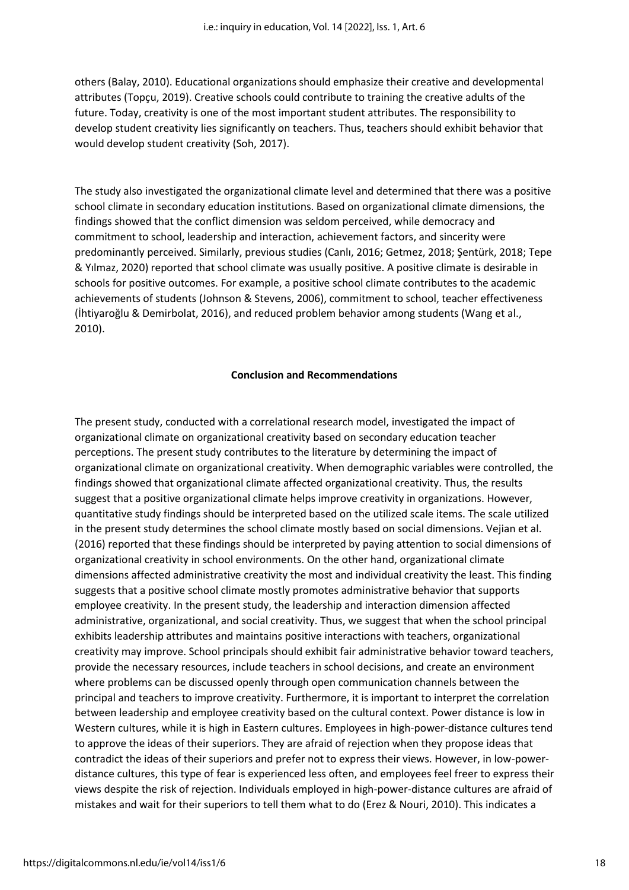others (Balay, 2010). Educational organizations should emphasize their creative and developmental attributes (Topçu, 2019). Creative schools could contribute to training the creative adults of the future. Today, creativity is one of the most important student attributes. The responsibility to develop student creativity lies significantly on teachers. Thus, teachers should exhibit behavior that would develop student creativity (Soh, 2017).

The study also investigated the organizational climate level and determined that there was a positive school climate in secondary education institutions. Based on organizational climate dimensions, the findings showed that the conflict dimension was seldom perceived, while democracy and commitment to school, leadership and interaction, achievement factors, and sincerity were predominantly perceived. Similarly, previous studies (Canlı, 2016; Getmez, 2018; Şentürk, 2018; Tepe & Yılmaz, 2020) reported that school climate was usually positive. A positive climate is desirable in schools for positive outcomes. For example, a positive school climate contributes to the academic achievements of students (Johnson & Stevens, 2006), commitment to school, teacher effectiveness (İhtiyaroğlu & Demirbolat, 2016), and reduced problem behavior among students (Wang et al., 2010).

# **Conclusion and Recommendations**

The present study, conducted with a correlational research model, investigated the impact of organizational climate on organizational creativity based on secondary education teacher perceptions. The present study contributes to the literature by determining the impact of organizational climate on organizational creativity. When demographic variables were controlled, the findings showed that organizational climate affected organizational creativity. Thus, the results suggest that a positive organizational climate helps improve creativity in organizations. However, quantitative study findings should be interpreted based on the utilized scale items. The scale utilized in the present study determines the school climate mostly based on social dimensions. Vejian et al. (2016) reported that these findings should be interpreted by paying attention to social dimensions of organizational creativity in school environments. On the other hand, organizational climate dimensions affected administrative creativity the most and individual creativity the least. This finding suggests that a positive school climate mostly promotes administrative behavior that supports employee creativity. In the present study, the leadership and interaction dimension affected administrative, organizational, and social creativity. Thus, we suggest that when the school principal exhibits leadership attributes and maintains positive interactions with teachers, organizational creativity may improve. School principals should exhibit fair administrative behavior toward teachers, provide the necessary resources, include teachers in school decisions, and create an environment where problems can be discussed openly through open communication channels between the principal and teachers to improve creativity. Furthermore, it is important to interpret the correlation between leadership and employee creativity based on the cultural context. Power distance is low in Western cultures, while it is high in Eastern cultures. Employees in high-power-distance cultures tend to approve the ideas of their superiors. They are afraid of rejection when they propose ideas that contradict the ideas of their superiors and prefer not to express their views. However, in low-powerdistance cultures, this type of fear is experienced less often, and employees feel freer to express their views despite the risk of rejection. Individuals employed in high-power-distance cultures are afraid of mistakes and wait for their superiors to tell them what to do (Erez & Nouri, 2010). This indicates a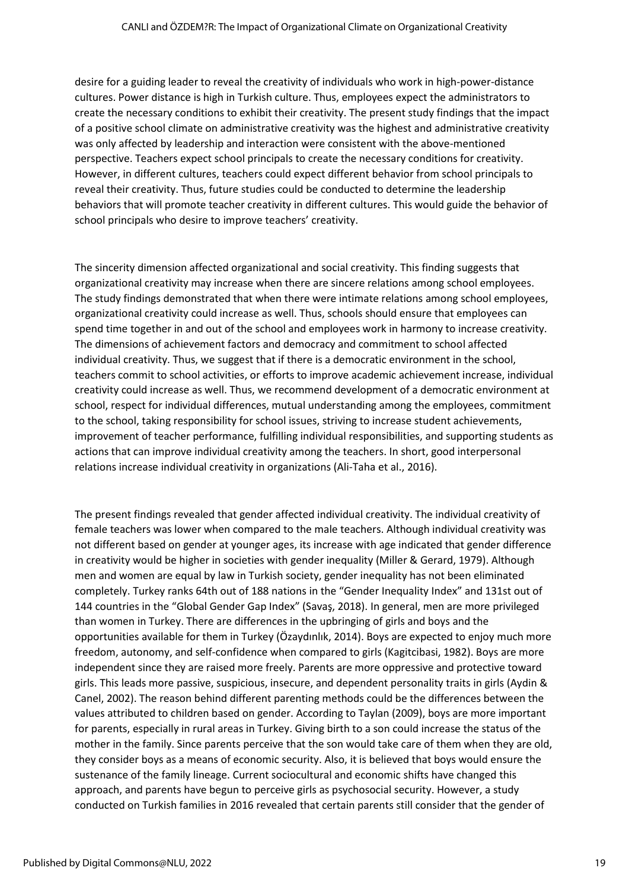desire for a guiding leader to reveal the creativity of individuals who work in high-power-distance cultures. Power distance is high in Turkish culture. Thus, employees expect the administrators to create the necessary conditions to exhibit their creativity. The present study findings that the impact of a positive school climate on administrative creativity was the highest and administrative creativity was only affected by leadership and interaction were consistent with the above-mentioned perspective. Teachers expect school principals to create the necessary conditions for creativity. However, in different cultures, teachers could expect different behavior from school principals to reveal their creativity. Thus, future studies could be conducted to determine the leadership behaviors that will promote teacher creativity in different cultures. This would guide the behavior of school principals who desire to improve teachers' creativity.

The sincerity dimension affected organizational and social creativity. This finding suggests that organizational creativity may increase when there are sincere relations among school employees. The study findings demonstrated that when there were intimate relations among school employees, organizational creativity could increase as well. Thus, schools should ensure that employees can spend time together in and out of the school and employees work in harmony to increase creativity. The dimensions of achievement factors and democracy and commitment to school affected individual creativity. Thus, we suggest that if there is a democratic environment in the school, teachers commit to school activities, or efforts to improve academic achievement increase, individual creativity could increase as well. Thus, we recommend development of a democratic environment at school, respect for individual differences, mutual understanding among the employees, commitment to the school, taking responsibility for school issues, striving to increase student achievements, improvement of teacher performance, fulfilling individual responsibilities, and supporting students as actions that can improve individual creativity among the teachers. In short, good interpersonal relations increase individual creativity in organizations (Ali-Taha et al., 2016).

The present findings revealed that gender affected individual creativity. The individual creativity of female teachers was lower when compared to the male teachers. Although individual creativity was not different based on gender at younger ages, its increase with age indicated that gender difference in creativity would be higher in societies with gender inequality (Miller & Gerard, 1979). Although men and women are equal by law in Turkish society, gender inequality has not been eliminated completely. Turkey ranks 64th out of 188 nations in the "Gender Inequality Index" and 131st out of 144 countries in the "Global Gender Gap Index" (Savaş, 2018). In general, men are more privileged than women in Turkey. There are differences in the upbringing of girls and boys and the opportunities available for them in Turkey (Özaydınlık, 2014). Boys are expected to enjoy much more freedom, autonomy, and self-confidence when compared to girls (Kagitcibasi, 1982). Boys are more independent since they are raised more freely. Parents are more oppressive and protective toward girls. This leads more passive, suspicious, insecure, and dependent personality traits in girls (Aydin & Canel, 2002). The reason behind different parenting methods could be the differences between the values attributed to children based on gender. According to Taylan (2009), boys are more important for parents, especially in rural areas in Turkey. Giving birth to a son could increase the status of the mother in the family. Since parents perceive that the son would take care of them when they are old, they consider boys as a means of economic security. Also, it is believed that boys would ensure the sustenance of the family lineage. Current sociocultural and economic shifts have changed this approach, and parents have begun to perceive girls as psychosocial security. However, a study conducted on Turkish families in 2016 revealed that certain parents still consider that the gender of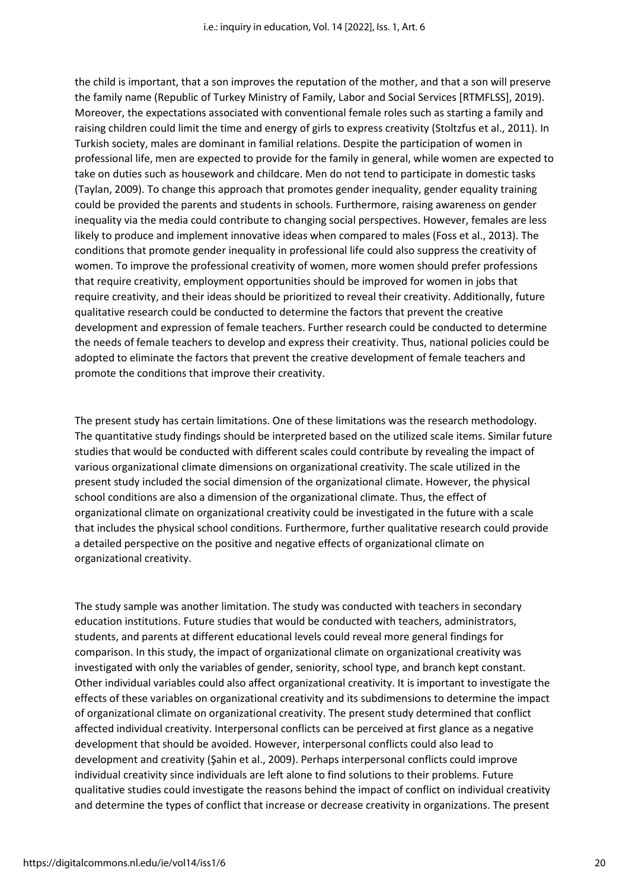the child is important, that a son improves the reputation of the mother, and that a son will preserve the family name (Republic of Turkey Ministry of Family, Labor and Social Services [RTMFLSS], 2019). Moreover, the expectations associated with conventional female roles such as starting a family and raising children could limit the time and energy of girls to express creativity (Stoltzfus et al., 2011). In Turkish society, males are dominant in familial relations. Despite the participation of women in professional life, men are expected to provide for the family in general, while women are expected to take on duties such as housework and childcare. Men do not tend to participate in domestic tasks (Taylan, 2009). To change this approach that promotes gender inequality, gender equality training could be provided the parents and students in schools. Furthermore, raising awareness on gender inequality via the media could contribute to changing social perspectives. However, females are less likely to produce and implement innovative ideas when compared to males (Foss et al., 2013). The conditions that promote gender inequality in professional life could also suppress the creativity of women. To improve the professional creativity of women, more women should prefer professions that require creativity, employment opportunities should be improved for women in jobs that require creativity, and their ideas should be prioritized to reveal their creativity. Additionally, future qualitative research could be conducted to determine the factors that prevent the creative development and expression of female teachers. Further research could be conducted to determine the needs of female teachers to develop and express their creativity. Thus, national policies could be adopted to eliminate the factors that prevent the creative development of female teachers and promote the conditions that improve their creativity.

The present study has certain limitations. One of these limitations was the research methodology. The quantitative study findings should be interpreted based on the utilized scale items. Similar future studies that would be conducted with different scales could contribute by revealing the impact of various organizational climate dimensions on organizational creativity. The scale utilized in the present study included the social dimension of the organizational climate. However, the physical school conditions are also a dimension of the organizational climate. Thus, the effect of organizational climate on organizational creativity could be investigated in the future with a scale that includes the physical school conditions. Furthermore, further qualitative research could provide a detailed perspective on the positive and negative effects of organizational climate on organizational creativity.

The study sample was another limitation. The study was conducted with teachers in secondary education institutions. Future studies that would be conducted with teachers, administrators, students, and parents at different educational levels could reveal more general findings for comparison. In this study, the impact of organizational climate on organizational creativity was investigated with only the variables of gender, seniority, school type, and branch kept constant. Other individual variables could also affect organizational creativity. It is important to investigate the effects of these variables on organizational creativity and its subdimensions to determine the impact of organizational climate on organizational creativity. The present study determined that conflict affected individual creativity. Interpersonal conflicts can be perceived at first glance as a negative development that should be avoided. However, interpersonal conflicts could also lead to development and creativity (Şahin et al., 2009). Perhaps interpersonal conflicts could improve individual creativity since individuals are left alone to find solutions to their problems. Future qualitative studies could investigate the reasons behind the impact of conflict on individual creativity and determine the types of conflict that increase or decrease creativity in organizations. The present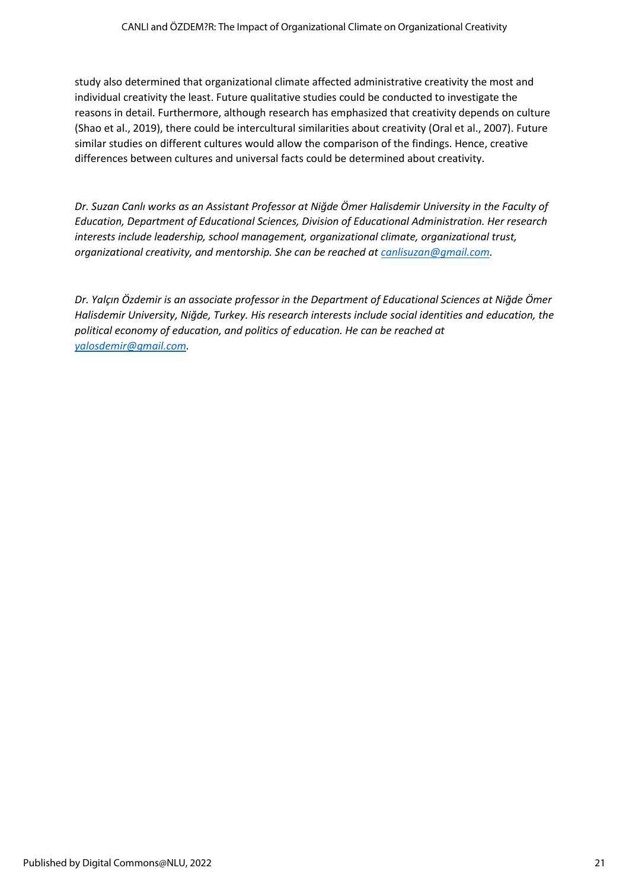study also determined that organizational climate affected administrative creativity the most and individual creativity the least. Future qualitative studies could be conducted to investigate the reasons in detail. Furthermore, although research has emphasized that creativity depends on culture (Shao et al., 2019), there could be intercultural similarities about creativity (Oral et al., 2007). Future similar studies on different cultures would allow the comparison of the findings. Hence, creative differences between cultures and universal facts could be determined about creativity.

**Dr. Suzan Canlı works as an Assistant Professor at Niğde Ömer Halisdemir University in the Faculty of** *Education, Department of Educational Sciences, Division of Educational Administration. Her research interests include leadership, school management, organizational climate, organizational trust, organizational creativity, and mentorship. She can be reached a[t canlisuzan@gmail.com.](mailto:canlisuzan@gmail.com)*

*Dr. Yalçın Özdemir is an associate professor in the Department of Educational Sciences at Niğde Ömer Halisdemir University, Niğde, Turkey. His research interests include social identities and education, the political economy of education, and politics of education. He can be reached at [yalosdemir@gmail.com.](mailto:yalosdemir@gmail.com)*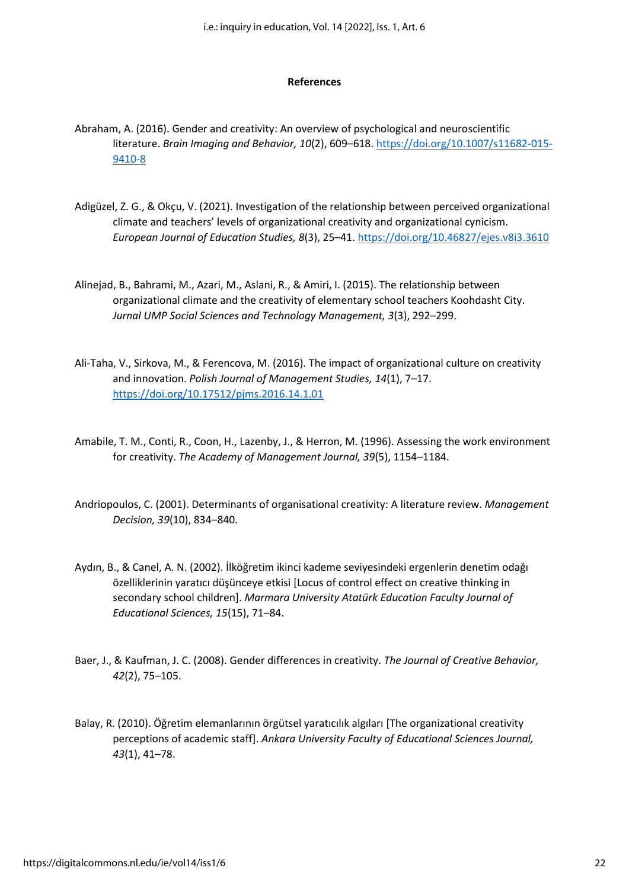#### **References**

- Abraham, A. (2016). Gender and creativity: An overview of psychological and neuroscientific literature. *Brain Imaging and Behavior, 10*(2), 609–618. [https://doi.org/10.1007/s11682-015-](https://doi.org/10.1007/s11682-015-9410-8) [9410-8](https://doi.org/10.1007/s11682-015-9410-8)
- Adigüzel, Z. G., & Okçu, V. (2021). Investigation of the relationship between perceived organizational climate and teachers' levels of organizational creativity and organizational cynicism. *European Journal of Education Studies, 8*(3), 25–41[. https://doi.org/10.46827/ejes.v8i3.3610](https://doi.org/10.46827/ejes.v8i3.3610)
- Alinejad, B., Bahrami, M., Azari, M., Aslani, R., & Amiri, I. (2015). The relationship between organizational climate and the creativity of elementary school teachers Koohdasht City. *Jurnal UMP Social Sciences and Technology Management, 3*(3), 292–299.
- Ali-Taha, V., Sirkova, M., & Ferencova, M. (2016). The impact of organizational culture on creativity and innovation. *Polish Journal of Management Studies, 14*(1), 7–17. <https://doi.org/10.17512/pjms.2016.14.1.01>
- Amabile, T. M., Conti, R., Coon, H., Lazenby, J., & Herron, M. (1996). Assessing the work environment for creativity. *The Academy of Management Journal, 39*(5), 1154–1184.
- Andriopoulos, C. (2001). Determinants of organisational creativity: A literature review. *Management Decision, 39*(10), 834–840.
- Aydın, B., & Canel, A. N. (2002). İlköğretim ikinci kademe seviyesindeki ergenlerin denetim odağı özelliklerinin yaratıcı düşünceye etkisi [Locus of control effect on creative thinking in secondary school children]. *Marmara University Atatürk Education Faculty Journal of Educational Sciences, 15*(15), 71–84.
- Baer, J., & Kaufman, J. C. (2008). Gender differences in creativity. *The Journal of Creative Behavior, 42*(2), 75–105.
- Balay, R. (2010). Öğretim elemanlarının örgütsel yaratıcılık algıları [The organizational creativity perceptions of academic staff]. *Ankara University Faculty of Educational Sciences Journal, 43*(1), 41–78.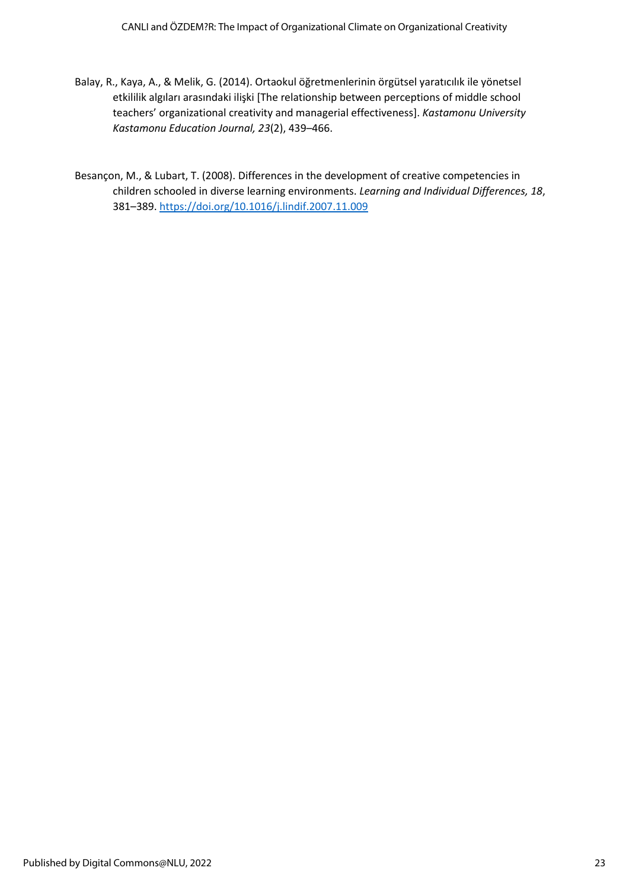- Balay, R., Kaya, A., & Melik, G. (2014). Ortaokul öğretmenlerinin örgütsel yaratıcılık ile yönetsel etkililik algıları arasındaki ilişki [The relationship between perceptions of middle school teachers' organizational creativity and managerial effectiveness]. *Kastamonu University Kastamonu Education Journal, 23*(2), 439–466.
- Besançon, M., & Lubart, T. (2008). Differences in the development of creative competencies in children schooled in diverse learning environments. *Learning and Individual Differences, 18*, 381–389.<https://doi.org/10.1016/j.lindif.2007.11.009>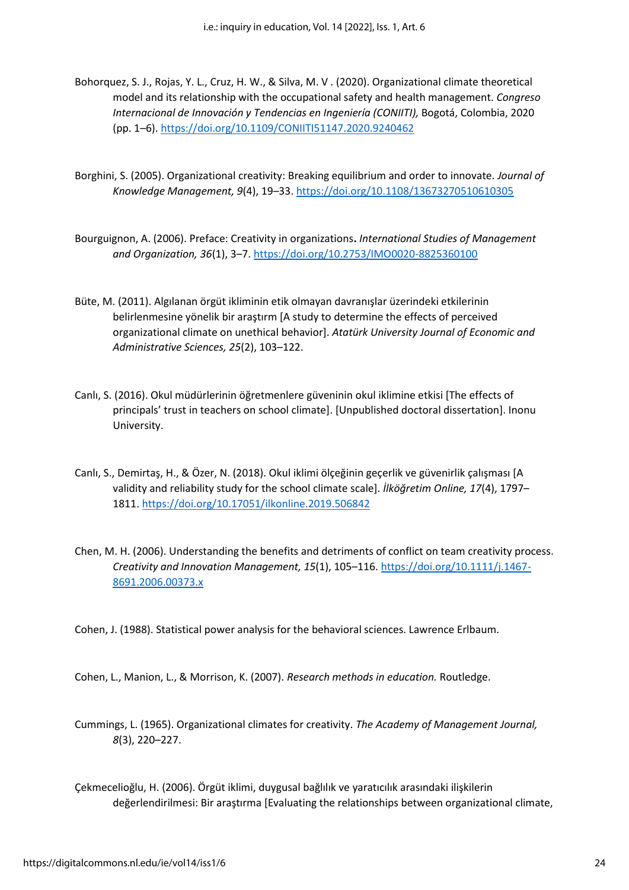- Bohorquez, S. J., Rojas, Y. L., Cruz, H. W., & Silva, M. V . (2020). Organizational climate theoretical model and its relationship with the occupational safety and health management. *Congreso Internacional de Innovación y Tendencias en Ingeniería (CONIITI),* Bogotá, Colombia, 2020 (pp. 1–6). <https://doi.org/10.1109/CONIITI51147.2020.9240462>
- Borghini, S. (2005). Organizational creativity: Breaking equilibrium and order to innovate. *Journal of Knowledge Management, 9*(4), 19–33. <https://doi.org/10.1108/13673270510610305>
- Bourguignon, A. (2006). Preface: Creativity in organizations**.** *International Studies of Management and Organization, 36*(1), 3–7.<https://doi.org/10.2753/IMO0020-8825360100>
- Büte, M. (2011). Algılanan örgüt ikliminin etik olmayan davranışlar üzerindeki etkilerinin belirlenmesine yönelik bir araştırm [A study to determine the effects of perceived organizational climate on unethical behavior]. *Atatürk University Journal of Economic and Administrative Sciences, 25*(2), 103–122.
- Canlı, S. (2016). Okul müdürlerinin öğretmenlere güveninin okul iklimine etkisi [The effects of principals' trust in teachers on school climate]. [Unpublished doctoral dissertation]. Inonu University.
- Canlı, S., Demirtaş, H., & Özer, N. (2018). Okul iklimi ölçeğinin geçerlik ve güvenirlik çalışması [A validity and reliability study for the school climate scale]. *İlköğretim Online, 17*(4), 1797– 1811[. https://doi.org/10.17051/ilkonline.2019.506842](https://doi.org/10.17051/ilkonline.2019.506842)
- Chen, M. H. (2006). Understanding the benefits and detriments of conflict on team creativity process. *Creativity and Innovation Management, 15*(1), 105–116. [https://doi.org/10.1111/j.1467-](https://doi.org/10.1111/j.1467-8691.2006.00373.x) [8691.2006.00373.x](https://doi.org/10.1111/j.1467-8691.2006.00373.x)

Cohen, J. (1988). Statistical power analysis for the behavioral sciences. Lawrence Erlbaum.

Cohen, L., Manion, L., & Morrison, K. (2007). *Research methods in education.* Routledge.

- Cummings, L. (1965). Organizational climates for creativity. *The Academy of Management Journal, 8*(3), 220–227.
- Çekmecelioğlu, H. (2006). Örgüt iklimi, duygusal bağlılık ve yaratıcılık arasındaki ilişkilerin değerlendirilmesi: Bir araştırma [Evaluating the relationships between organizational climate,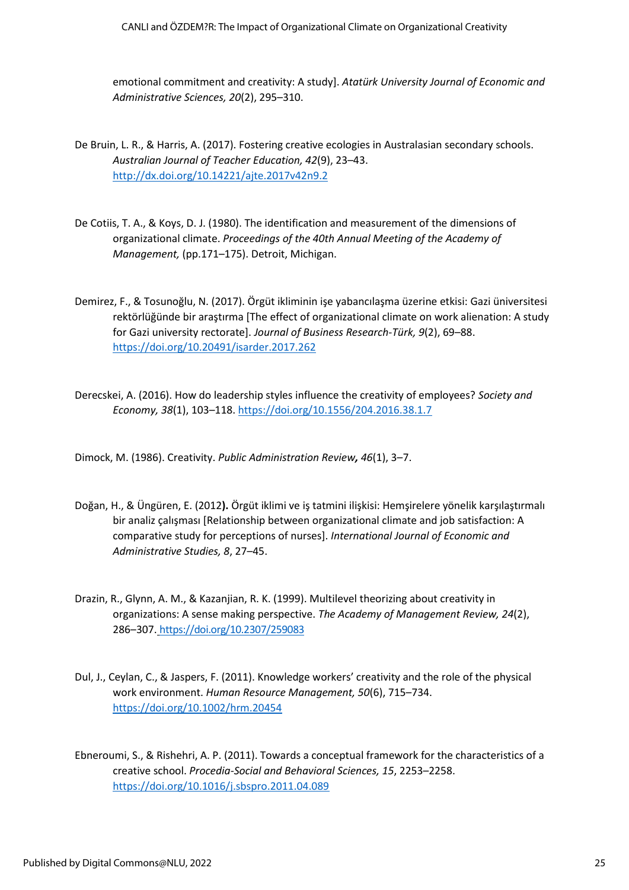emotional commitment and creativity: A study]. *Atatürk University Journal of Economic and Administrative Sciences, 20*(2), 295–310.

- De Bruin, L. R., & Harris, A. (2017). Fostering creative ecologies in Australasian secondary schools. *Australian Journal of Teacher Education, 42*(9), 23–43. <http://dx.doi.org/10.14221/ajte.2017v42n9.2>
- De Cotiis, T. A., & Koys, D. J. (1980). The identification and measurement of the dimensions of organizational climate. *Proceedings of the 40th Annual Meeting of the Academy of Management,* (pp.171–175). Detroit, Michigan.
- Demirez, F., & Tosunoğlu, N. (2017). Örgüt ikliminin işe yabancılaşma üzerine etkisi: Gazi üniversitesi rektörlüğünde bir araştırma [The effect of organizational climate on work alienation: A study for Gazi university rectorate]. *Journal of Business Research-Türk, 9*(2), 69–88. <https://doi.org/10.20491/isarder.2017.262>
- Derecskei, A. (2016). How do leadership styles influence the creativity of employees? *Society and Economy, 38*(1), 103–118[. https://doi.org/10.1556/204.2016.38.1.7](https://doi.org/10.1556/204.2016.38.1.7)
- Dimock, M. (1986). Creativity. *Public Administration Review, 46*(1), 3–7.
- Doğan, H., & Üngüren, E. (2012**).** Örgüt iklimi ve iş tatmini ilişkisi: Hemşirelere yönelik karşılaştırmalı bir analiz çalışması [Relationship between organizational climate and job satisfaction: A comparative study for perceptions of nurses]. *International Journal of Economic and Administrative Studies, 8*, 27–45.
- Drazin, R., Glynn, A. M., & Kazanjian, R. K. (1999). Multilevel theorizing about creativity in organizations: A sense making perspective. *The Academy of Management Review, 24*(2), 286–307. <https://doi.org/10.2307/259083>
- Dul, J., Ceylan, C., & Jaspers, F. (2011). Knowledge workers' creativity and the role of the physical work environment. *Human Resource Management, 50*(6), 715–734. <https://doi.org/10.1002/hrm.20454>
- Ebneroumi, S., & Rishehri, A. P. (2011). Towards a conceptual framework for the characteristics of a creative school. *Procedia-Social and Behavioral Sciences, 15*, 2253–2258. <https://doi.org/10.1016/j.sbspro.2011.04.089>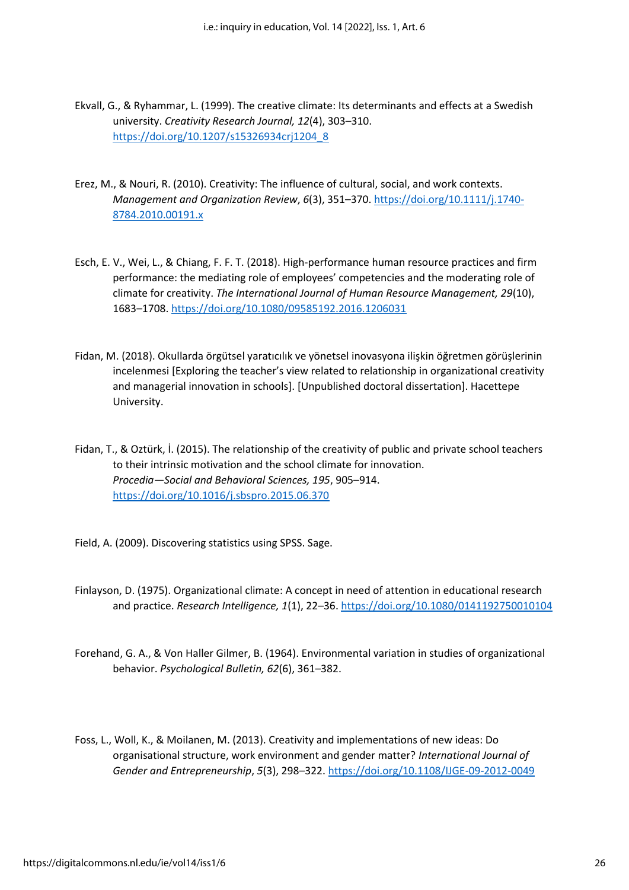- Ekvall, G., & Ryhammar, L. (1999). The creative climate: Its determinants and effects at a Swedish university. *Creativity Research Journal, 12*(4), 303–310. [https://doi.org/10.1207/s15326934crj1204\\_8](https://doi.org/10.1207/s15326934crj1204_8)
- Erez, M., & Nouri, R. (2010). Creativity: The influence of cultural, social, and work contexts. *Management and Organization Review*, *6*(3), 351–370. [https://doi.org/10.1111/j.1740-](https://doi.org/10.1111/j.1740-8784.2010.00191.x) [8784.2010.00191.x](https://doi.org/10.1111/j.1740-8784.2010.00191.x)
- Esch, E. V., Wei, L., & Chiang, F. F. T. (2018). High-performance human resource practices and firm performance: the mediating role of employees' competencies and the moderating role of climate for creativity. *The International Journal of Human Resource Management, 29*(10), 1683–1708.<https://doi.org/10.1080/09585192.2016.1206031>
- Fidan, M. (2018). Okullarda örgütsel yaratıcılık ve yönetsel inovasyona ilişkin öğretmen görüşlerinin incelenmesi [Exploring the teacher's view related to relationship in organizational creativity and managerial innovation in schools]. [Unpublished doctoral dissertation]. Hacettepe University.
- Fidan, T., & Oztürk, İ. (2015). The relationship of the creativity of public and private school teachers to their intrinsic motivation and the school climate for innovation. *Procedia—Social and Behavioral Sciences, 195*, 905–914. <https://doi.org/10.1016/j.sbspro.2015.06.370>
- Field, A. (2009). Discovering statistics using SPSS. Sage.
- Finlayson, D. (1975). Organizational climate: A concept in need of attention in educational research and practice. *Research Intelligence, 1*(1), 22–36. <https://doi.org/10.1080/0141192750010104>
- Forehand, G. A., & Von Haller Gilmer, B. (1964). Environmental variation in studies of organizational behavior. *Psychological Bulletin, 62*(6), 361–382.
- Foss, L., Woll, K., & Moilanen, M. (2013). Creativity and implementations of new ideas: Do organisational structure, work environment and gender matter? *International Journal of Gender and Entrepreneurship*, *5*(3), 298–322[. https://doi.org/10.1108/IJGE-09-2012-0049](https://doi.org/10.1108/IJGE-09-2012-0049)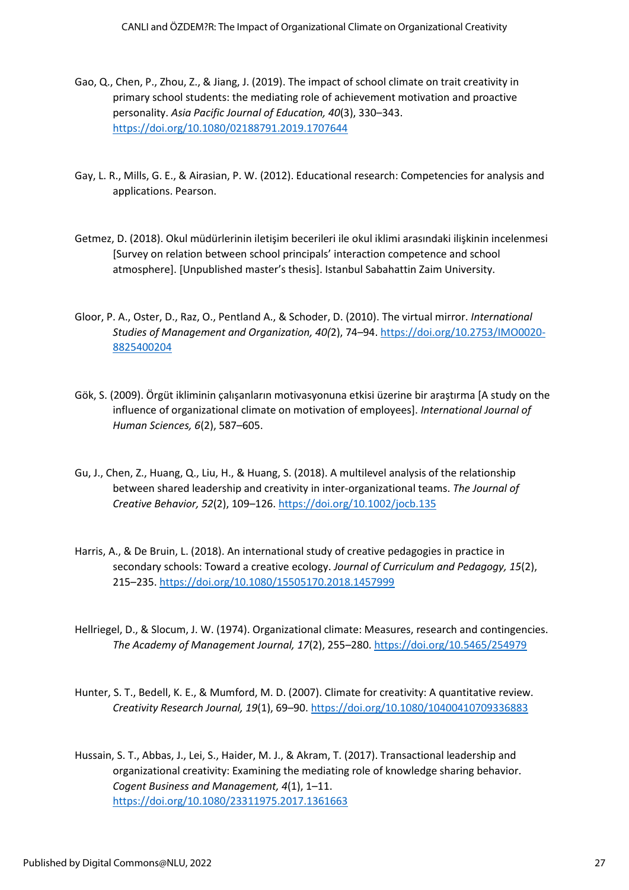- Gao, Q., Chen, P., Zhou, Z., & Jiang, J. (2019). The impact of school climate on trait creativity in primary school students: the mediating role of achievement motivation and proactive personality. *Asia Pacific Journal of Education, 40*(3), 330–343. <https://doi.org/10.1080/02188791.2019.1707644>
- Gay, L. R., Mills, G. E., & Airasian, P. W. (2012). Educational research: Competencies for analysis and applications. Pearson.
- Getmez, D. (2018). Okul müdürlerinin iletişim becerileri ile okul iklimi arasındaki ilişkinin incelenmesi [Survey on relation between school principals' interaction competence and school atmosphere]. [Unpublished master's thesis]. Istanbul Sabahattin Zaim University.
- Gloor, P. A., Oster, D., Raz, O., Pentland A., & Schoder, D. (2010). The virtual mirror. *International Studies of Management and Organization, 40(*2), 74–94. [https://doi.org/10.2753/IMO0020-](https://doi.org/10.2753/IMO0020-8825400204) [8825400204](https://doi.org/10.2753/IMO0020-8825400204)
- Gök, S. (2009). Örgüt ikliminin çalışanların motivasyonuna etkisi üzerine bir araştırma [A study on the influence of organizational climate on motivation of employees]. *International Journal of Human Sciences, 6*(2), 587–605.
- Gu, J., Chen, Z., Huang, Q., Liu, H., & Huang, S. (2018). A multilevel analysis of the relationship between shared leadership and creativity in inter‐organizational teams. *The Journal of Creative Behavior, 52*(2), 109–126[. https://doi.org/10.1002/jocb.135](https://doi.org/10.1002/jocb.135)
- Harris, A., & De Bruin, L. (2018). An international study of creative pedagogies in practice in secondary schools: Toward a creative ecology. *Journal of Curriculum and Pedagogy, 15*(2), 215–235.<https://doi.org/10.1080/15505170.2018.1457999>
- Hellriegel, D., & Slocum, J. W. (1974). Organizational climate: Measures, research and contingencies. *The Academy of Management Journal, 17*(2), 255–280. <https://doi.org/10.5465/254979>
- Hunter, S. T., Bedell, K. E., & Mumford, M. D. (2007). Climate for creativity: A quantitative review. *Creativity Research Journal, 19*(1), 69–90. <https://doi.org/10.1080/10400410709336883>
- Hussain, S. T., Abbas, J., Lei, S., Haider, M. J., & Akram, T. (2017). Transactional leadership and organizational creativity: Examining the mediating role of knowledge sharing behavior. *Cogent Business and Management, 4*(1), 1–11. <https://doi.org/10.1080/23311975.2017.1361663>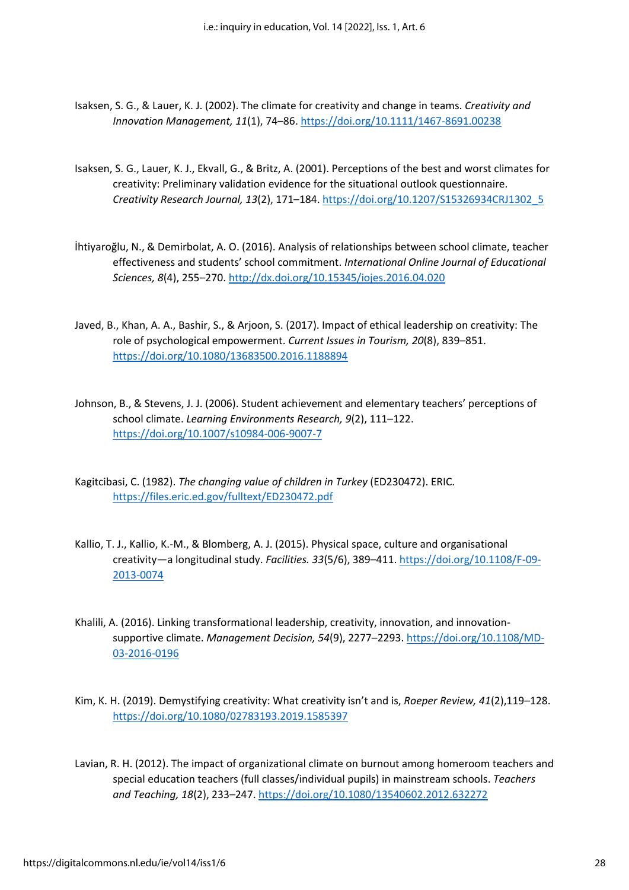- Isaksen, S. G., & Lauer, K. J. (2002). The climate for creativity and change in teams. *Creativity and Innovation Management, 11*(1), 74–86[. https://doi.org/10.1111/1467-8691.00238](https://doi.org/10.1111/1467-8691.00238)
- Isaksen, S. G., Lauer, K. J., Ekvall, G., & Britz, A. (2001). Perceptions of the best and worst climates for creativity: Preliminary validation evidence for the situational outlook questionnaire. *Creativity Research Journal, 13*(2), 171–184[. https://doi.org/10.1207/S15326934CRJ1302\\_5](https://doi.org/10.1207/S15326934CRJ1302_5)
- İhtiyaroğlu, N., & Demirbolat, A. O. (2016). Analysis of relationships between school climate, teacher effectiveness and students' school commitment. *International Online Journal of Educational Sciences, 8*(4), 255–270[. http://dx.doi.org/10.15345/iojes.2016.04.020](http://dx.doi.org/10.15345/iojes.2016.04.020)
- Javed, B., Khan, A. A., Bashir, S., & Arjoon, S. (2017). Impact of ethical leadership on creativity: The role of psychological empowerment. *Current Issues in Tourism, 20*(8), 839–851. <https://doi.org/10.1080/13683500.2016.1188894>
- Johnson, B., & Stevens, J. J. (2006). Student achievement and elementary teachers' perceptions of school climate. *Learning Environments Research, 9*(2), 111–122. <https://doi.org/10.1007/s10984-006-9007-7>
- Kagitcibasi, C. (1982). *The changing value of children in Turkey* (ED230472). ERIC. <https://files.eric.ed.gov/fulltext/ED230472.pdf>
- Kallio, T. J., Kallio, K.-M., & Blomberg, A. J. (2015). Physical space, culture and organisational creativity—a longitudinal study. *Facilities. 33*(5/6), 389–411. [https://doi.org/10.1108/F-09-](https://doi.org/10.1108/F-09-2013-0074) [2013-0074](https://doi.org/10.1108/F-09-2013-0074)
- Khalili, A. (2016). Linking transformational leadership, creativity, innovation, and innovationsupportive climate. *Management Decision, 54*(9), 2277–2293. [https://doi.org/10.1108/MD-](https://doi.org/10.1108/MD-03-2016-0196)[03-2016-0196](https://doi.org/10.1108/MD-03-2016-0196)
- Kim, K. H. (2019). Demystifying creativity: What creativity isn't and is, *Roeper Review, 41*(2),119–128. <https://doi.org/10.1080/02783193.2019.1585397>
- Lavian, R. H. (2012). The impact of organizational climate on burnout among homeroom teachers and special education teachers (full classes/individual pupils) in mainstream schools. *Teachers and Teaching, 18*(2), 233–247. <https://doi.org/10.1080/13540602.2012.632272>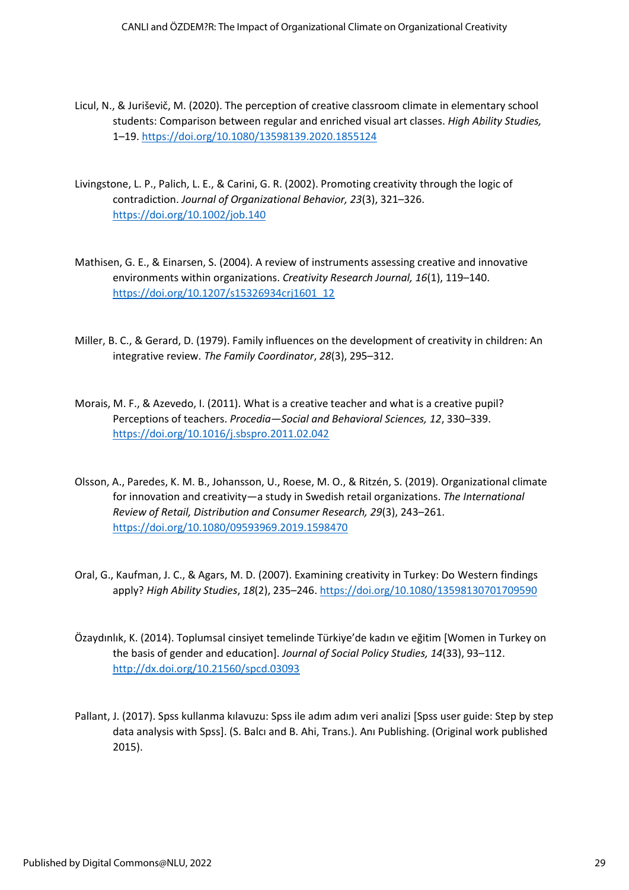- Licul, N., & Juriševič, M. (2020). The perception of creative classroom climate in elementary school students: Comparison between regular and enriched visual art classes. *High Ability Studies,*  1–19.<https://doi.org/10.1080/13598139.2020.1855124>
- Livingstone, L. P., Palich, L. E., & Carini, G. R. (2002). Promoting creativity through the logic of contradiction. *Journal of Organizational Behavior, 23*(3), 321–326. <https://doi.org/10.1002/job.140>
- Mathisen, G. E., & Einarsen, S. (2004). A review of instruments assessing creative and innovative environments within organizations. *Creativity Research Journal, 16*(1), 119–140. [https://doi.org/10.1207/s15326934crj1601\\_12](https://doi.org/10.1207/s15326934crj1601_12)
- Miller, B. C., & Gerard, D. (1979). Family influences on the development of creativity in children: An integrative review. *The Family Coordinator*, *28*(3), 295–312.
- Morais, M. F., & Azevedo, I. (2011). What is a creative teacher and what is a creative pupil? Perceptions of teachers. *Procedia—Social and Behavioral Sciences, 12*, 330–339. <https://doi.org/10.1016/j.sbspro.2011.02.042>
- Olsson, A., Paredes, K. M. B., Johansson, U., Roese, M. O., & Ritzén, S. (2019). Organizational climate for innovation and creativity—a study in Swedish retail organizations. *The International Review of Retail, Distribution and Consumer Research, 29*(3), 243–261. <https://doi.org/10.1080/09593969.2019.1598470>
- Oral, G., Kaufman, J. C., & Agars, M. D. (2007). Examining creativity in Turkey: Do Western findings apply? *High Ability Studies*, *18*(2), 235–246[. https://doi.org/10.1080/13598130701709590](https://doi.org/10.1080/13598130701709590)
- Özaydınlık, K. (2014). Toplumsal cinsiyet temelinde Türkiye'de kadın ve eğitim [Women in Turkey on the basis of gender and education]. *Journal of Social Policy Studies, 14*(33), 93–112. <http://dx.doi.org/10.21560/spcd.03093>
- Pallant, J. (2017). Spss kullanma kılavuzu: Spss ile adım adım veri analizi [Spss user guide: Step by step data analysis with Spss]. (S. Balcı and B. Ahi, Trans.). Anı Publishing. (Original work published 2015).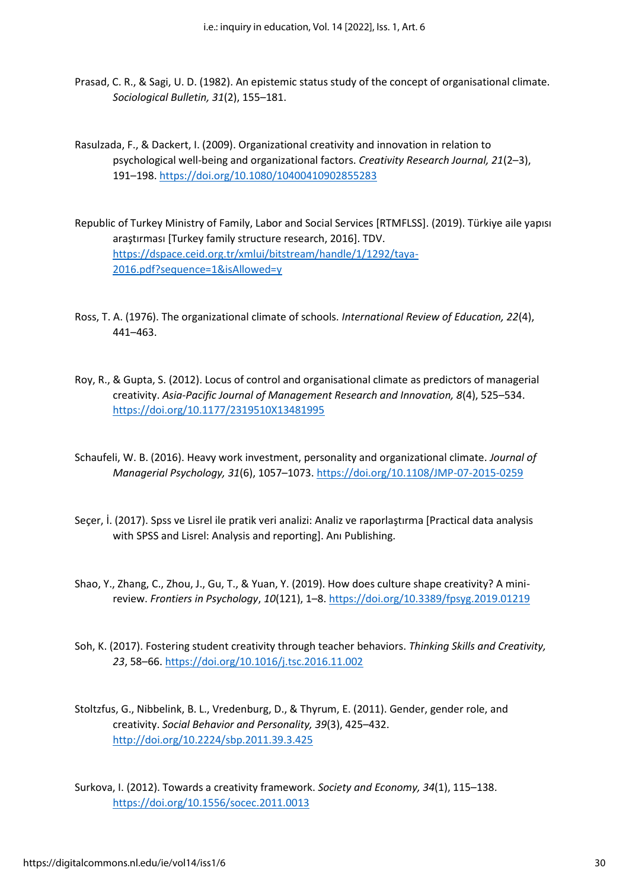- Prasad, C. R., & Sagi, U. D. (1982). An epistemic status study of the concept of organisational climate. *Sociological Bulletin, 31*(2), 155–181.
- Rasulzada, F., & Dackert, I. (2009). Organizational creativity and innovation in relation to psychological well-being and organizational factors. *Creativity Research Journal, 21*(2–3), 191–198.<https://doi.org/10.1080/10400410902855283>
- Republic of Turkey Ministry of Family, Labor and Social Services [RTMFLSS]. (2019). Türkiye aile yapısı araştırması [Turkey family structure research, 2016]. TDV. [https://dspace.ceid.org.tr/xmlui/bitstream/handle/1/1292/taya-](https://dspace.ceid.org.tr/xmlui/bitstream/handle/1/1292/taya-2016.pdf?sequence=1&isAllowed=y)[2016.pdf?sequence=1&isAllowed=y](https://dspace.ceid.org.tr/xmlui/bitstream/handle/1/1292/taya-2016.pdf?sequence=1&isAllowed=y)
- Ross, T. A. (1976). The organizational climate of schools. *International Review of Education, 22*(4), 441–463.
- Roy, R., & Gupta, S. (2012). Locus of control and organisational climate as predictors of managerial creativity. *Asia-Pacific Journal of Management Research and Innovation, 8*(4), 525–534. <https://doi.org/10.1177/2319510X13481995>
- Schaufeli, W. B. (2016). Heavy work investment, personality and organizational climate. *Journal of Managerial Psychology, 31*(6), 1057–1073. <https://doi.org/10.1108/JMP-07-2015-0259>
- Seçer, İ. (2017). Spss ve Lisrel ile pratik veri analizi: Analiz ve raporlaştırma [Practical data analysis with SPSS and Lisrel: Analysis and reporting]. Anı Publishing.
- Shao, Y., Zhang, C., Zhou, J., Gu, T., & Yuan, Y. (2019). How does culture shape creativity? A minireview. *Frontiers in Psychology*, *10*(121), 1–8[. https://doi.org/10.3389/fpsyg.2019.01219](https://doi.org/10.3389/fpsyg.2019.01219)
- Soh, K. (2017). Fostering student creativity through teacher behaviors. *Thinking Skills and Creativity, 23*, 58–66.<https://doi.org/10.1016/j.tsc.2016.11.002>
- Stoltzfus, G., Nibbelink, B. L., Vredenburg, D., & Thyrum, E. (2011). Gender, gender role, and creativity. *Social Behavior and Personality, 39*(3), 425–432. <http://doi.org/10.2224/sbp.2011.39.3.425>
- Surkova, I. (2012). Towards a creativity framework. *Society and Economy, 34*(1), 115–138. <https://doi.org/10.1556/socec.2011.0013>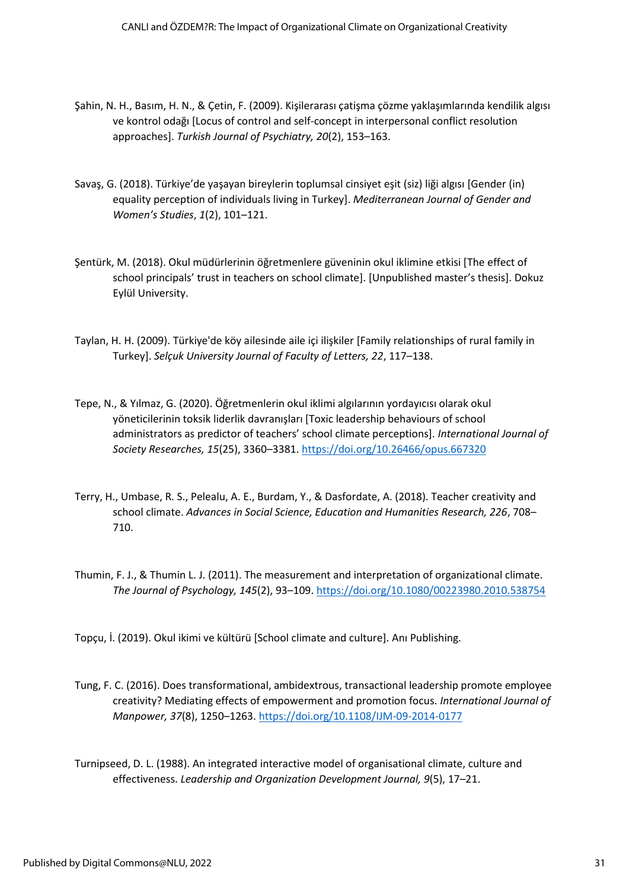- Şahin, N. H., Basım, H. N., & Çetin, F. (2009). Kişilerarası çatişma çözme yaklaşımlarında kendilik algısı ve kontrol odağı [Locus of control and self-concept in interpersonal conflict resolution approaches]. *Turkish Journal of Psychiatry, 20*(2), 153–163.
- Savaş, G. (2018). Türkiye'de yaşayan bireylerin toplumsal cinsiyet eşit (siz) liği algısı [Gender (in) equality perception of individuals living in Turkey]. *Mediterranean Journal of Gender and Women's Studies*, *1*(2), 101–121.
- Şentürk, M. (2018). Okul müdürlerinin öğretmenlere güveninin okul iklimine etkisi [The effect of school principals' trust in teachers on school climate]. [Unpublished master's thesis]. Dokuz Eylül University.
- Taylan, H. H. (2009). Türkiye'de köy ailesinde aile içi ilişkiler [Family relationships of rural family in Turkey]. *Selçuk University Journal of Faculty of Letters, 22*, 117–138.
- Tepe, N., & Yılmaz, G. (2020). Öğretmenlerin okul iklimi algılarının yordayıcısı olarak okul yöneticilerinin toksik liderlik davranışları [Toxic leadership behaviours of school administrators as predictor of teachers' school climate perceptions]. *International Journal of Society Researches, 15*(25), 3360–3381. <https://doi.org/10.26466/opus.667320>
- Terry, H., Umbase, R. S., Pelealu, A. E., Burdam, Y., & Dasfordate, A. (2018). Teacher creativity and school climate. *Advances in Social Science, Education and Humanities Research, 226*, 708– 710.
- Thumin, F. J., & Thumin L. J. (2011). The measurement and interpretation of organizational climate. *The Journal of Psychology, 145*(2), 93–109[. https://doi.org/10.1080/00223980.2010.538754](https://doi.org/10.1080/00223980.2010.538754)

Topçu, İ. (2019). Okul ikimi ve kültürü [School climate and culture]. Anı Publishing.

- Tung, F. C. (2016). Does transformational, ambidextrous, transactional leadership promote employee creativity? Mediating effects of empowerment and promotion focus. *International Journal of Manpower, 37*(8), 1250–1263.<https://doi.org/10.1108/IJM-09-2014-0177>
- Turnipseed, D. L. (1988). An integrated interactive model of organisational climate, culture and effectiveness. *Leadership and Organization Development Journal, 9*(5), 17–21.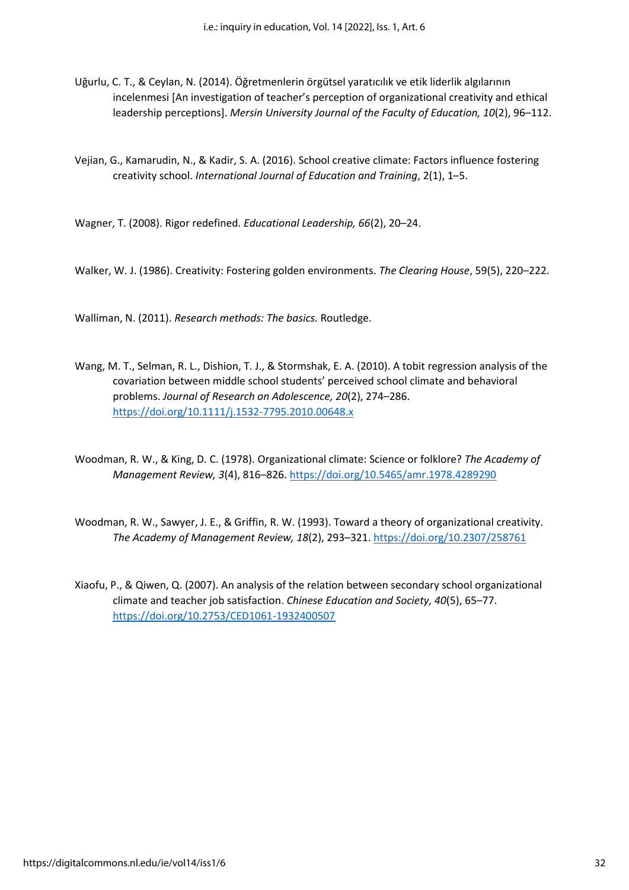Uğurlu, C. T., & Ceylan, N. (2014). Öğretmenlerin örgütsel yaratıcılık ve etik liderlik algılarının incelenmesi [An investigation of teacher's perception of organizational creativity and ethical leadership perceptions]. *Mersin University Journal of the Faculty of Education, 10*(2), 96–112.

Vejian, G., Kamarudin, N., & Kadir, S. A. (2016). School creative climate: Factors influence fostering creativity school. *International Journal of Education and Training*, 2(1), 1–5.

Wagner, T. (2008). Rigor redefined. *Educational Leadership, 66*(2), 20–24.

Walker, W. J. (1986). Creativity: Fostering golden environments. *The Clearing House*, 59(5), 220–222.

Walliman, N. (2011). *Research methods: The basics.* Routledge.

Wang, M. T., Selman, R. L., Dishion, T. J., & Stormshak, E. A. (2010). A tobit regression analysis of the covariation between middle school students' perceived school climate and behavioral problems. *Journal of Research on Adolescence, 20*(2), 274–286. <https://doi.org/10.1111/j.1532-7795.2010.00648.x>

Woodman, R. W., & King, D. C. (1978). Organizational climate: Science or folklore? *The Academy of Management Review, 3*(4), 816–826.<https://doi.org/10.5465/amr.1978.4289290>

- Woodman, R. W., Sawyer, J. E., & Griffin, R. W. (1993). Toward a theory of organizational creativity. *The Academy of Management Review, 18*(2), 293–321. <https://doi.org/10.2307/258761>
- Xiaofu, P., & Qiwen, Q. (2007). An analysis of the relation between secondary school organizational climate and teacher job satisfaction. *Chinese Education and Society, 40*(5), 65–77. <https://doi.org/10.2753/CED1061-1932400507>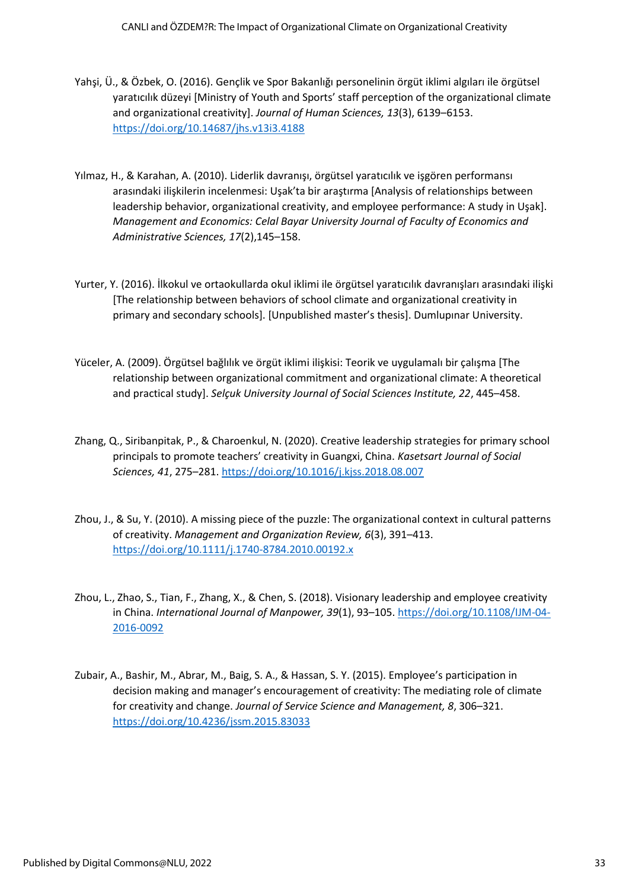- Yahşi, Ü., & Özbek, O. (2016). Gençlik ve Spor Bakanlığı personelinin örgüt iklimi algıları ile örgütsel yaratıcılık düzeyi [Ministry of Youth and Sports' staff perception of the organizational climate and organizational creativity]. *Journal of Human Sciences, 13*(3), 6139–6153. <https://doi.org/10.14687/jhs.v13i3.4188>
- Yılmaz, H., & Karahan, A. (2010). Liderlik davranışı, örgütsel yaratıcılık ve işgören performansı arasındaki ilişkilerin incelenmesi: Uşak'ta bir araştırma [Analysis of relationships between leadership behavior, organizational creativity, and employee performance: A study in Uşak]. *Management and Economics: Celal Bayar University Journal of Faculty of Economics and Administrative Sciences, 17*(2),145–158.
- Yurter, Y. (2016). İlkokul ve ortaokullarda okul iklimi ile örgütsel yaratıcılık davranışları arasındaki ilişki [The relationship between behaviors of school climate and organizational creativity in primary and secondary schools]. [Unpublished master's thesis]. Dumlupınar University.
- Yüceler, A. (2009). Örgütsel bağlılık ve örgüt iklimi ilişkisi: Teorik ve uygulamalı bir çalışma [The relationship between organizational commitment and organizational climate: A theoretical and practical study]. *Selçuk University Journal of Social Sciences Institute, 22*, 445–458.
- Zhang, Q., Siribanpitak, P., & Charoenkul, N. (2020). Creative leadership strategies for primary school principals to promote teachers' creativity in Guangxi, China. *Kasetsart Journal of Social Sciences, 41*, 275–281.<https://doi.org/10.1016/j.kjss.2018.08.007>
- Zhou, J., & Su, Y. (2010). A missing piece of the puzzle: The organizational context in cultural patterns of creativity. *Management and Organization Review, 6*(3), 391–413. <https://doi.org/10.1111/j.1740-8784.2010.00192.x>
- Zhou, L., Zhao, S., Tian, F., Zhang, X., & Chen, S. (2018). Visionary leadership and employee creativity in China. *International Journal of Manpower, 39*(1), 93–105[. https://doi.org/10.1108/IJM-04-](https://doi.org/10.1108/IJM-04-2016-0092) [2016-0092](https://doi.org/10.1108/IJM-04-2016-0092)
- Zubair, A., Bashir, M., Abrar, M., Baig, S. A., & Hassan, S. Y. (2015). Employee's participation in decision making and manager's encouragement of creativity: The mediating role of climate for creativity and change. *Journal of Service Science and Management, 8*, 306–321. <https://doi.org/10.4236/jssm.2015.83033>